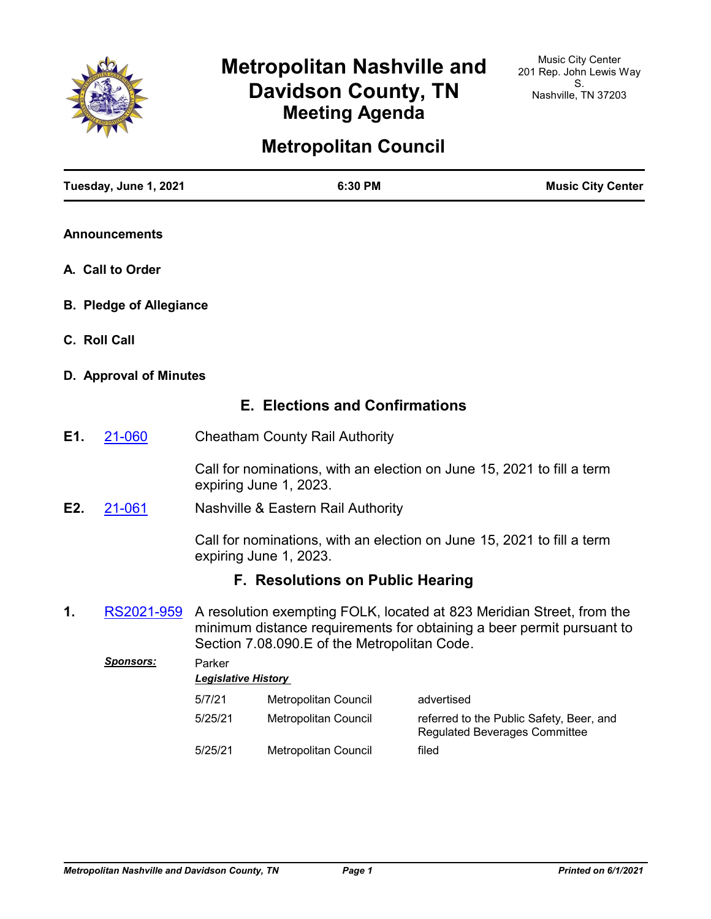

# **Metropolitan Nashville and Davidson County, TN Meeting Agenda**

## **Metropolitan Council**

|     | Tuesday, June 1, 2021          |                            | 6:30 PM                                      |                                                                                                                                                | <b>Music City Center</b> |
|-----|--------------------------------|----------------------------|----------------------------------------------|------------------------------------------------------------------------------------------------------------------------------------------------|--------------------------|
|     | <b>Announcements</b>           |                            |                                              |                                                                                                                                                |                          |
|     | A. Call to Order               |                            |                                              |                                                                                                                                                |                          |
|     | <b>B. Pledge of Allegiance</b> |                            |                                              |                                                                                                                                                |                          |
|     | C. Roll Call                   |                            |                                              |                                                                                                                                                |                          |
|     | D. Approval of Minutes         |                            |                                              |                                                                                                                                                |                          |
|     |                                |                            | <b>E. Elections and Confirmations</b>        |                                                                                                                                                |                          |
| E1. | 21-060                         |                            | <b>Cheatham County Rail Authority</b>        |                                                                                                                                                |                          |
|     |                                |                            | expiring June 1, 2023.                       | Call for nominations, with an election on June 15, 2021 to fill a term                                                                         |                          |
| E2. | 21-061                         |                            | Nashville & Eastern Rail Authority           |                                                                                                                                                |                          |
|     |                                |                            | expiring June 1, 2023.                       | Call for nominations, with an election on June 15, 2021 to fill a term                                                                         |                          |
|     |                                |                            | <b>F. Resolutions on Public Hearing</b>      |                                                                                                                                                |                          |
| 1.  | RS2021-959                     |                            | Section 7.08.090.E of the Metropolitan Code. | A resolution exempting FOLK, located at 823 Meridian Street, from the<br>minimum distance requirements for obtaining a beer permit pursuant to |                          |
|     | <u> Sponsors:</u>              | Parker                     |                                              |                                                                                                                                                |                          |
|     |                                | <b>Legislative History</b> |                                              |                                                                                                                                                |                          |
|     |                                | 5/7/21                     | Metropolitan Council                         | advertised                                                                                                                                     |                          |
|     |                                | 5/25/21                    | Metropolitan Council                         | referred to the Public Safety, Beer, and<br><b>Regulated Beverages Committee</b>                                                               |                          |
|     |                                | 5/25/21                    | Metropolitan Council                         | filed                                                                                                                                          |                          |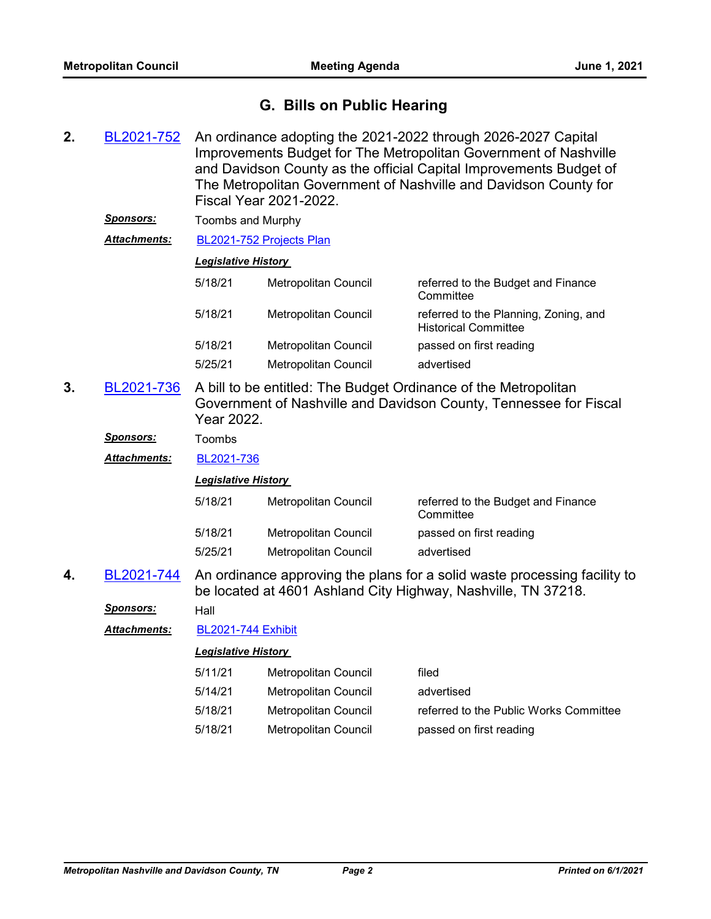### **G. Bills on Public Hearing**

- An ordinance adopting the 2021-2022 through 2026-2027 Capital Improvements Budget for The Metropolitan Government of Nashville and Davidson County as the official Capital Improvements Budget of The Metropolitan Government of Nashville and Davidson County for Fiscal Year 2021-2022. **2.** [BL2021-752](http://nashville.legistar.com/gateway.aspx?m=l&id=/matter.aspx?key=2278)
	- *Sponsors:* Toombs and Murphy
	- *Attachments:* [BL2021-752 Projects Plan](http://nashville.legistar.com/gateway.aspx?M=F&ID=15797a48-472f-4410-9e4b-4e18a1a86600.pdf)

#### *Legislative History*

| 5/18/21 | Metropolitan Council | referred to the Budget and Finance<br>Committee                      |
|---------|----------------------|----------------------------------------------------------------------|
| 5/18/21 | Metropolitan Council | referred to the Planning, Zoning, and<br><b>Historical Committee</b> |
| 5/18/21 | Metropolitan Council | passed on first reading                                              |
| 5/25/21 | Metropolitan Council | advertised                                                           |

A bill to be entitled: The Budget Ordinance of the Metropolitan Government of Nashville and Davidson County, Tennessee for Fiscal Year 2022. **3.** [BL2021-736](http://nashville.legistar.com/gateway.aspx?m=l&id=/matter.aspx?key=2224)

*Sponsors:* Toombs

*Attachments:* [BL2021-736](http://nashville.legistar.com/gateway.aspx?M=F&ID=682e7740-3982-44ad-ba59-258d443d53c7.pdf)

#### *Legislative History*

| 5/18/21 | Metropolitan Council | referred to the Budget and Finance<br>Committee |
|---------|----------------------|-------------------------------------------------|
| 5/18/21 | Metropolitan Council | passed on first reading                         |
| 5/25/21 | Metropolitan Council | advertised                                      |

An ordinance approving the plans for a solid waste processing facility to be located at 4601 Ashland City Highway, Nashville, TN 37218. **4.** [BL2021-744](http://nashville.legistar.com/gateway.aspx?m=l&id=/matter.aspx?key=2270)

*Sponsors:* Hall

*Attachments:* [BL2021-744 Exhibit](http://nashville.legistar.com/gateway.aspx?M=F&ID=49c0c28d-7aac-4343-b253-8e1a30313264.pdf)

| 5/11/21 | Metropolitan Council | filed                                  |
|---------|----------------------|----------------------------------------|
| 5/14/21 | Metropolitan Council | advertised                             |
| 5/18/21 | Metropolitan Council | referred to the Public Works Committee |
| 5/18/21 | Metropolitan Council | passed on first reading                |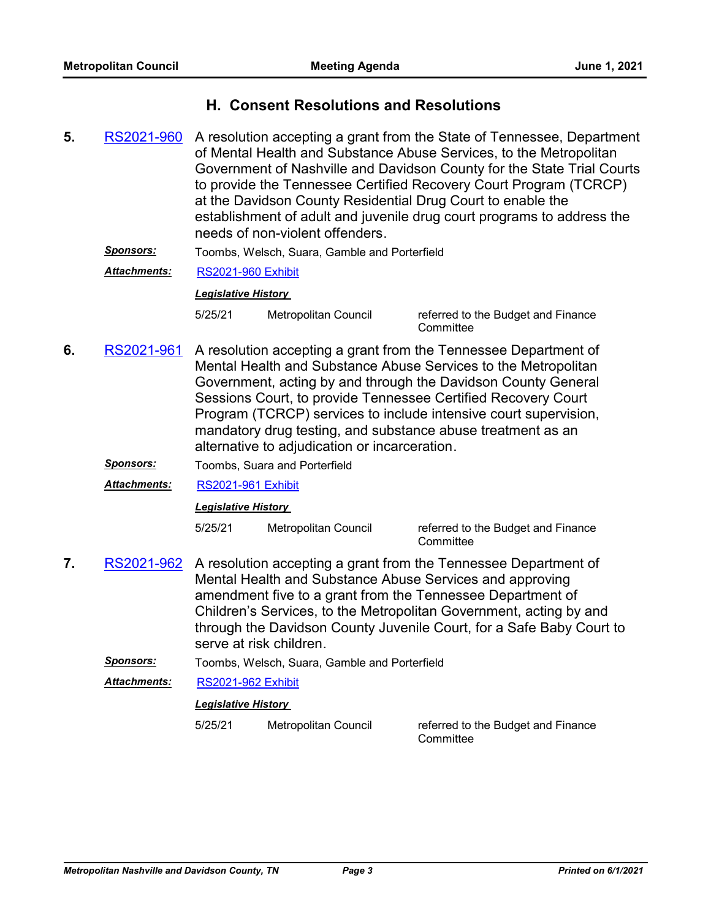### **H. Consent Resolutions and Resolutions**

- A resolution accepting a grant from the State of Tennessee, Department of Mental Health and Substance Abuse Services, to the Metropolitan Government of Nashville and Davidson County for the State Trial Courts to provide the Tennessee Certified Recovery Court Program (TCRCP) at the Davidson County Residential Drug Court to enable the establishment of adult and juvenile drug court programs to address the needs of non-violent offenders. **5.** [RS2021-960](http://nashville.legistar.com/gateway.aspx?m=l&id=/matter.aspx?key=2314)
	- *Sponsors:* Toombs, Welsch, Suara, Gamble and Porterfield

*Attachments:* [RS2021-960 Exhibit](http://nashville.legistar.com/gateway.aspx?M=F&ID=70491f47-cbda-4b21-b268-9e3c03863608.pdf)

#### *Legislative History*

5/25/21 Metropolitan Council referred to the Budget and Finance

**Committee** 

A resolution accepting a grant from the Tennessee Department of Mental Health and Substance Abuse Services to the Metropolitan Government, acting by and through the Davidson County General Sessions Court, to provide Tennessee Certified Recovery Court Program (TCRCP) services to include intensive court supervision, mandatory drug testing, and substance abuse treatment as an alternative to adjudication or incarceration. **6.** [RS2021-961](http://nashville.legistar.com/gateway.aspx?m=l&id=/matter.aspx?key=2315)

*Sponsors:* Toombs, Suara and Porterfield

*Attachments:* [RS2021-961 Exhibit](http://nashville.legistar.com/gateway.aspx?M=F&ID=bbf4f797-4e0e-4ce3-83e9-db17e5f0c96b.pdf)

#### *Legislative History*

5/25/21 Metropolitan Council referred to the Budget and Finance **Committee** 

- A resolution accepting a grant from the Tennessee Department of Mental Health and Substance Abuse Services and approving amendment five to a grant from the Tennessee Department of Children's Services, to the Metropolitan Government, acting by and through the Davidson County Juvenile Court, for a Safe Baby Court to serve at risk children. **7.** [RS2021-962](http://nashville.legistar.com/gateway.aspx?m=l&id=/matter.aspx?key=2325)
	- *Sponsors:* Toombs, Welsch, Suara, Gamble and Porterfield
	- *Attachments:* [RS2021-962 Exhibit](http://nashville.legistar.com/gateway.aspx?M=F&ID=81b36a0f-65a2-4043-83a1-a929df86f246.pdf)

#### *Legislative History*

5/25/21 Metropolitan Council referred to the Budget and Finance

**Committee**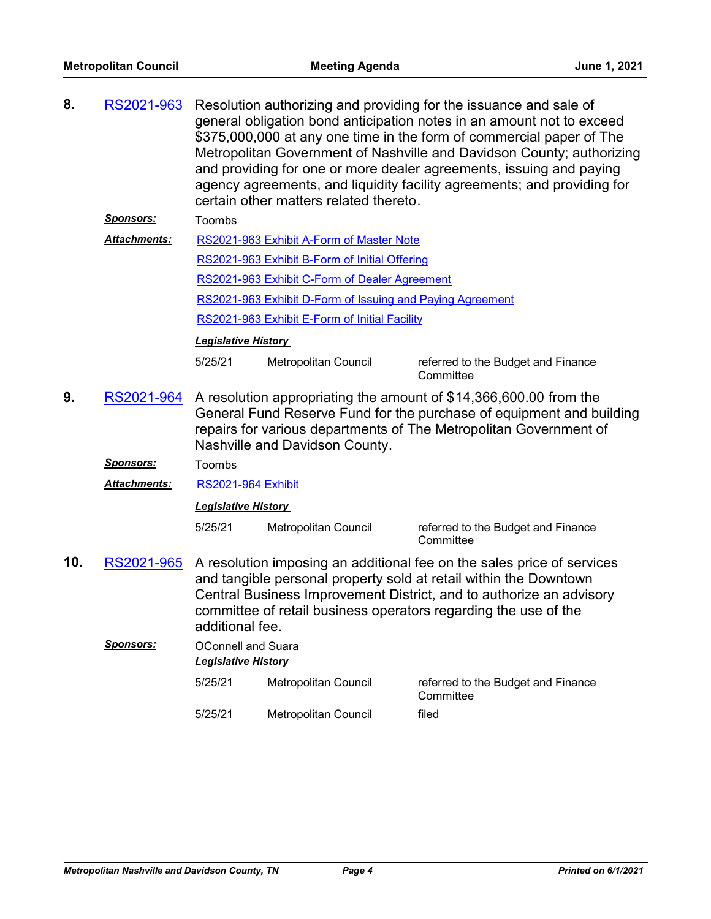| 8.               | RS2021-963          |                                                         | certain other matters related thereto.                    | Resolution authorizing and providing for the issuance and sale of<br>general obligation bond anticipation notes in an amount not to exceed<br>\$375,000,000 at any one time in the form of commercial paper of The<br>Metropolitan Government of Nashville and Davidson County; authorizing<br>and providing for one or more dealer agreements, issuing and paying<br>agency agreements, and liquidity facility agreements; and providing for |  |
|------------------|---------------------|---------------------------------------------------------|-----------------------------------------------------------|-----------------------------------------------------------------------------------------------------------------------------------------------------------------------------------------------------------------------------------------------------------------------------------------------------------------------------------------------------------------------------------------------------------------------------------------------|--|
|                  | <u>Sponsors:</u>    | Toombs                                                  |                                                           |                                                                                                                                                                                                                                                                                                                                                                                                                                               |  |
|                  | <b>Attachments:</b> |                                                         | RS2021-963 Exhibit A-Form of Master Note                  |                                                                                                                                                                                                                                                                                                                                                                                                                                               |  |
|                  |                     |                                                         | RS2021-963 Exhibit B-Form of Initial Offering             |                                                                                                                                                                                                                                                                                                                                                                                                                                               |  |
|                  |                     |                                                         | RS2021-963 Exhibit C-Form of Dealer Agreement             |                                                                                                                                                                                                                                                                                                                                                                                                                                               |  |
|                  |                     |                                                         | RS2021-963 Exhibit D-Form of Issuing and Paying Agreement |                                                                                                                                                                                                                                                                                                                                                                                                                                               |  |
|                  |                     | RS2021-963 Exhibit E-Form of Initial Facility           |                                                           |                                                                                                                                                                                                                                                                                                                                                                                                                                               |  |
|                  |                     | <b>Legislative History</b>                              |                                                           |                                                                                                                                                                                                                                                                                                                                                                                                                                               |  |
|                  |                     | 5/25/21                                                 | Metropolitan Council                                      | referred to the Budget and Finance<br>Committee                                                                                                                                                                                                                                                                                                                                                                                               |  |
| 9.<br>RS2021-964 |                     |                                                         | Nashville and Davidson County.                            | A resolution appropriating the amount of \$14,366,600.00 from the<br>General Fund Reserve Fund for the purchase of equipment and building<br>repairs for various departments of The Metropolitan Government of                                                                                                                                                                                                                                |  |
|                  | <u>Sponsors:</u>    | Toombs                                                  |                                                           |                                                                                                                                                                                                                                                                                                                                                                                                                                               |  |
|                  | Attachments:        | <b>RS2021-964 Exhibit</b>                               |                                                           |                                                                                                                                                                                                                                                                                                                                                                                                                                               |  |
|                  |                     | <b>Legislative History</b>                              |                                                           |                                                                                                                                                                                                                                                                                                                                                                                                                                               |  |
|                  |                     | 5/25/21                                                 | Metropolitan Council                                      | referred to the Budget and Finance<br>Committee                                                                                                                                                                                                                                                                                                                                                                                               |  |
| 10.              | RS2021-965          | additional fee.                                         |                                                           | A resolution imposing an additional fee on the sales price of services<br>and tangible personal property sold at retail within the Downtown<br>Central Business Improvement District, and to authorize an advisory<br>committee of retail business operators regarding the use of the                                                                                                                                                         |  |
|                  | <b>Sponsors:</b>    | <b>OConnell and Suara</b><br><b>Legislative History</b> |                                                           |                                                                                                                                                                                                                                                                                                                                                                                                                                               |  |
|                  |                     | 5/25/21                                                 | Metropolitan Council                                      | referred to the Budget and Finance<br>Committee                                                                                                                                                                                                                                                                                                                                                                                               |  |
|                  |                     | 5/25/21                                                 | Metropolitan Council                                      | filed                                                                                                                                                                                                                                                                                                                                                                                                                                         |  |
|                  |                     |                                                         |                                                           |                                                                                                                                                                                                                                                                                                                                                                                                                                               |  |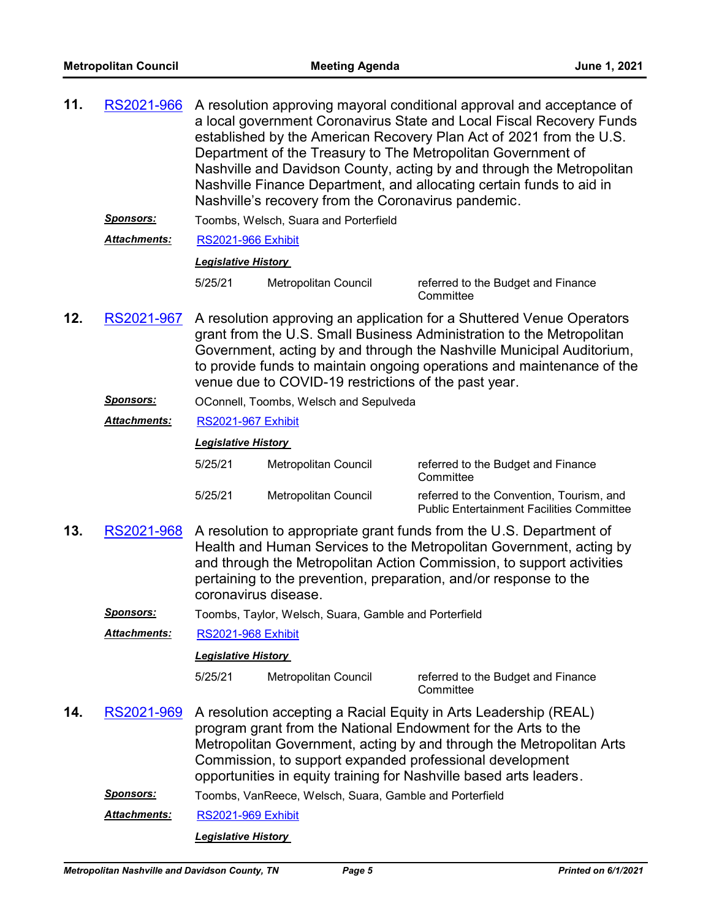| 11. | RS2021-966          | A resolution approving mayoral conditional approval and acceptance of<br>a local government Coronavirus State and Local Fiscal Recovery Funds<br>established by the American Recovery Plan Act of 2021 from the U.S.<br>Department of the Treasury to The Metropolitan Government of<br>Nashville and Davidson County, acting by and through the Metropolitan<br>Nashville Finance Department, and allocating certain funds to aid in<br>Nashville's recovery from the Coronavirus pandemic. |                                                         |                                                                                                                                                                                                                                                                                                                                             |  |  |
|-----|---------------------|----------------------------------------------------------------------------------------------------------------------------------------------------------------------------------------------------------------------------------------------------------------------------------------------------------------------------------------------------------------------------------------------------------------------------------------------------------------------------------------------|---------------------------------------------------------|---------------------------------------------------------------------------------------------------------------------------------------------------------------------------------------------------------------------------------------------------------------------------------------------------------------------------------------------|--|--|
|     | <u>Sponsors:</u>    |                                                                                                                                                                                                                                                                                                                                                                                                                                                                                              | Toombs, Welsch, Suara and Porterfield                   |                                                                                                                                                                                                                                                                                                                                             |  |  |
|     | Attachments:        | <b>RS2021-966 Exhibit</b>                                                                                                                                                                                                                                                                                                                                                                                                                                                                    |                                                         |                                                                                                                                                                                                                                                                                                                                             |  |  |
|     |                     | <b>Legislative History</b>                                                                                                                                                                                                                                                                                                                                                                                                                                                                   |                                                         |                                                                                                                                                                                                                                                                                                                                             |  |  |
|     |                     | 5/25/21                                                                                                                                                                                                                                                                                                                                                                                                                                                                                      | Metropolitan Council                                    | referred to the Budget and Finance<br>Committee                                                                                                                                                                                                                                                                                             |  |  |
| 12. | RS2021-967          | A resolution approving an application for a Shuttered Venue Operators<br>grant from the U.S. Small Business Administration to the Metropolitan<br>Government, acting by and through the Nashville Municipal Auditorium,<br>to provide funds to maintain ongoing operations and maintenance of the<br>venue due to COVID-19 restrictions of the past year.                                                                                                                                    |                                                         |                                                                                                                                                                                                                                                                                                                                             |  |  |
|     | <b>Sponsors:</b>    |                                                                                                                                                                                                                                                                                                                                                                                                                                                                                              | OConnell, Toombs, Welsch and Sepulveda                  |                                                                                                                                                                                                                                                                                                                                             |  |  |
|     | Attachments:        | <b>RS2021-967 Exhibit</b>                                                                                                                                                                                                                                                                                                                                                                                                                                                                    |                                                         |                                                                                                                                                                                                                                                                                                                                             |  |  |
|     |                     | <b>Legislative History</b>                                                                                                                                                                                                                                                                                                                                                                                                                                                                   |                                                         |                                                                                                                                                                                                                                                                                                                                             |  |  |
|     |                     | 5/25/21                                                                                                                                                                                                                                                                                                                                                                                                                                                                                      | Metropolitan Council                                    | referred to the Budget and Finance<br>Committee                                                                                                                                                                                                                                                                                             |  |  |
|     |                     | 5/25/21                                                                                                                                                                                                                                                                                                                                                                                                                                                                                      | Metropolitan Council                                    | referred to the Convention, Tourism, and<br><b>Public Entertainment Facilities Committee</b>                                                                                                                                                                                                                                                |  |  |
| 13. | RS2021-968          | A resolution to appropriate grant funds from the U.S. Department of<br>Health and Human Services to the Metropolitan Government, acting by<br>and through the Metropolitan Action Commission, to support activities<br>pertaining to the prevention, preparation, and/or response to the<br>coronavirus disease.                                                                                                                                                                             |                                                         |                                                                                                                                                                                                                                                                                                                                             |  |  |
|     | <b>Sponsors:</b>    |                                                                                                                                                                                                                                                                                                                                                                                                                                                                                              | Toombs, Taylor, Welsch, Suara, Gamble and Porterfield   |                                                                                                                                                                                                                                                                                                                                             |  |  |
|     | Attachments:        | <b>RS2021-968 Exhibit</b>                                                                                                                                                                                                                                                                                                                                                                                                                                                                    |                                                         |                                                                                                                                                                                                                                                                                                                                             |  |  |
|     |                     | <b>Legislative History</b>                                                                                                                                                                                                                                                                                                                                                                                                                                                                   |                                                         |                                                                                                                                                                                                                                                                                                                                             |  |  |
|     |                     | 5/25/21                                                                                                                                                                                                                                                                                                                                                                                                                                                                                      | Metropolitan Council                                    | referred to the Budget and Finance<br>Committee                                                                                                                                                                                                                                                                                             |  |  |
| 14. | RS2021-969          |                                                                                                                                                                                                                                                                                                                                                                                                                                                                                              |                                                         | A resolution accepting a Racial Equity in Arts Leadership (REAL)<br>program grant from the National Endowment for the Arts to the<br>Metropolitan Government, acting by and through the Metropolitan Arts<br>Commission, to support expanded professional development<br>opportunities in equity training for Nashville based arts leaders. |  |  |
|     | <u>Sponsors:</u>    |                                                                                                                                                                                                                                                                                                                                                                                                                                                                                              | Toombs, VanReece, Welsch, Suara, Gamble and Porterfield |                                                                                                                                                                                                                                                                                                                                             |  |  |
|     | <b>Attachments:</b> | <b>RS2021-969 Exhibit</b>                                                                                                                                                                                                                                                                                                                                                                                                                                                                    |                                                         |                                                                                                                                                                                                                                                                                                                                             |  |  |
|     |                     |                                                                                                                                                                                                                                                                                                                                                                                                                                                                                              | <b>Legislative History</b>                              |                                                                                                                                                                                                                                                                                                                                             |  |  |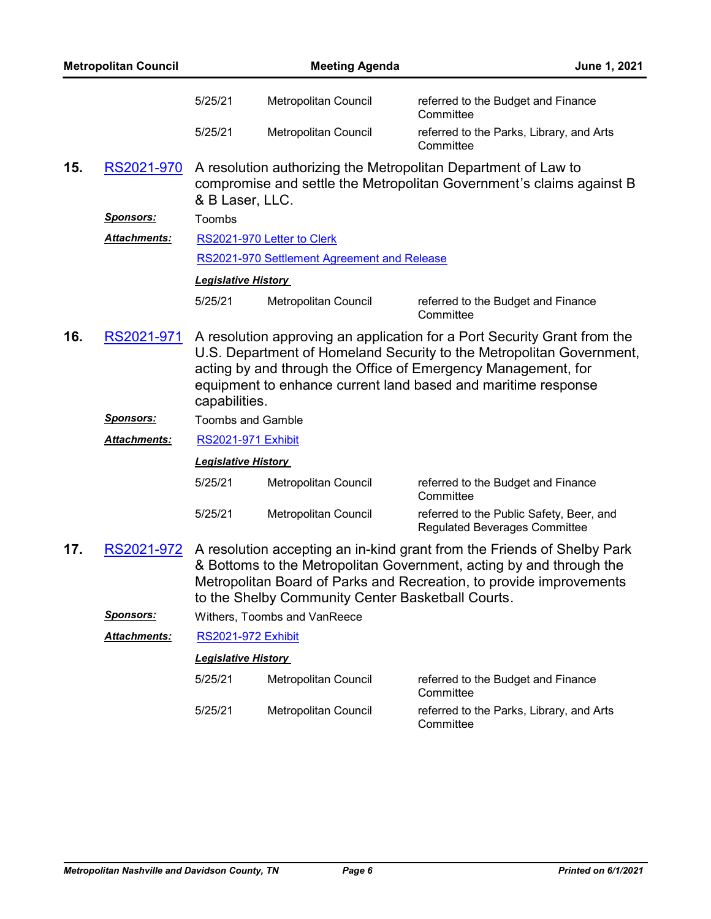| <b>Metropolitan Council</b> |                     |                            | <b>Meeting Agenda</b><br>June 1, 2021             |                                                                                                                                                                                                                                                                                    |
|-----------------------------|---------------------|----------------------------|---------------------------------------------------|------------------------------------------------------------------------------------------------------------------------------------------------------------------------------------------------------------------------------------------------------------------------------------|
|                             |                     | 5/25/21                    | Metropolitan Council                              | referred to the Budget and Finance<br>Committee                                                                                                                                                                                                                                    |
|                             |                     | 5/25/21                    | Metropolitan Council                              | referred to the Parks, Library, and Arts<br>Committee                                                                                                                                                                                                                              |
| 15.                         | RS2021-970          | & B Laser, LLC.            |                                                   | A resolution authorizing the Metropolitan Department of Law to<br>compromise and settle the Metropolitan Government's claims against B                                                                                                                                             |
|                             | <u>Sponsors:</u>    | Toombs                     |                                                   |                                                                                                                                                                                                                                                                                    |
|                             | Attachments:        |                            | RS2021-970 Letter to Clerk                        |                                                                                                                                                                                                                                                                                    |
|                             |                     |                            | RS2021-970 Settlement Agreement and Release       |                                                                                                                                                                                                                                                                                    |
|                             |                     | <b>Legislative History</b> |                                                   |                                                                                                                                                                                                                                                                                    |
|                             |                     | 5/25/21                    | <b>Metropolitan Council</b>                       | referred to the Budget and Finance<br>Committee                                                                                                                                                                                                                                    |
| 16.                         | RS2021-971          | capabilities.              |                                                   | A resolution approving an application for a Port Security Grant from the<br>U.S. Department of Homeland Security to the Metropolitan Government,<br>acting by and through the Office of Emergency Management, for<br>equipment to enhance current land based and maritime response |
|                             | <u>Sponsors:</u>    | <b>Toombs and Gamble</b>   |                                                   |                                                                                                                                                                                                                                                                                    |
|                             | <b>Attachments:</b> | <b>RS2021-971 Exhibit</b>  |                                                   |                                                                                                                                                                                                                                                                                    |
|                             |                     | <b>Legislative History</b> |                                                   |                                                                                                                                                                                                                                                                                    |
|                             |                     | 5/25/21                    | Metropolitan Council                              | referred to the Budget and Finance<br>Committee                                                                                                                                                                                                                                    |
|                             |                     | 5/25/21                    | Metropolitan Council                              | referred to the Public Safety, Beer, and<br><b>Regulated Beverages Committee</b>                                                                                                                                                                                                   |
| 17.                         | RS2021-972          |                            | to the Shelby Community Center Basketball Courts. | A resolution accepting an in-kind grant from the Friends of Shelby Park<br>& Bottoms to the Metropolitan Government, acting by and through the<br>Metropolitan Board of Parks and Recreation, to provide improvements                                                              |
|                             | <u>Sponsors:</u>    |                            | Withers, Toombs and VanReece                      |                                                                                                                                                                                                                                                                                    |
|                             | <b>Attachments:</b> | <b>RS2021-972 Exhibit</b>  |                                                   |                                                                                                                                                                                                                                                                                    |
|                             |                     | <b>Legislative History</b> |                                                   |                                                                                                                                                                                                                                                                                    |
|                             |                     | 5/25/21                    | Metropolitan Council                              | referred to the Budget and Finance<br>Committee                                                                                                                                                                                                                                    |
|                             |                     | 5/25/21                    | Metropolitan Council                              | referred to the Parks, Library, and Arts<br>Committee                                                                                                                                                                                                                              |
|                             |                     |                            |                                                   |                                                                                                                                                                                                                                                                                    |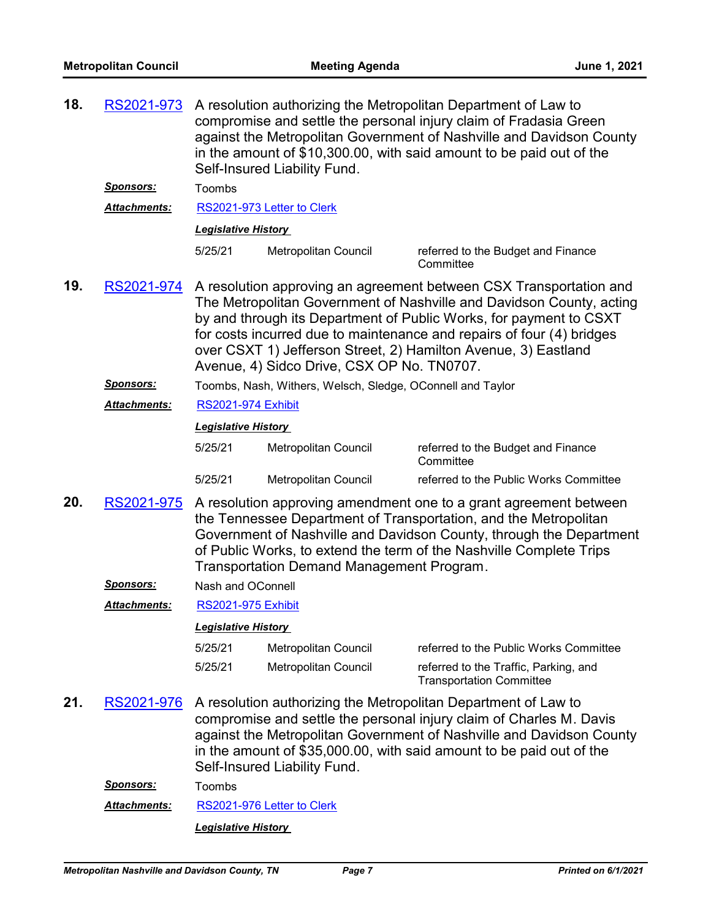| 18. | RS2021-973                                                                                                                                                                                                                                                                                                                                            | A resolution authorizing the Metropolitan Department of Law to<br>compromise and settle the personal injury claim of Fradasia Green<br>against the Metropolitan Government of Nashville and Davidson County<br>in the amount of \$10,300.00, with said amount to be paid out of the<br>Self-Insured Liability Fund.                                                                                       |                                                            |                                                                                                                                                                                                                                                                                       |  |  |
|-----|-------------------------------------------------------------------------------------------------------------------------------------------------------------------------------------------------------------------------------------------------------------------------------------------------------------------------------------------------------|-----------------------------------------------------------------------------------------------------------------------------------------------------------------------------------------------------------------------------------------------------------------------------------------------------------------------------------------------------------------------------------------------------------|------------------------------------------------------------|---------------------------------------------------------------------------------------------------------------------------------------------------------------------------------------------------------------------------------------------------------------------------------------|--|--|
|     | <u>Sponsors:</u>                                                                                                                                                                                                                                                                                                                                      | Toombs                                                                                                                                                                                                                                                                                                                                                                                                    |                                                            |                                                                                                                                                                                                                                                                                       |  |  |
|     | <b>Attachments:</b>                                                                                                                                                                                                                                                                                                                                   |                                                                                                                                                                                                                                                                                                                                                                                                           | RS2021-973 Letter to Clerk                                 |                                                                                                                                                                                                                                                                                       |  |  |
|     |                                                                                                                                                                                                                                                                                                                                                       | <b>Legislative History</b>                                                                                                                                                                                                                                                                                                                                                                                |                                                            |                                                                                                                                                                                                                                                                                       |  |  |
|     |                                                                                                                                                                                                                                                                                                                                                       | 5/25/21                                                                                                                                                                                                                                                                                                                                                                                                   | Metropolitan Council                                       | referred to the Budget and Finance<br>Committee                                                                                                                                                                                                                                       |  |  |
| 19. | RS2021-974                                                                                                                                                                                                                                                                                                                                            | A resolution approving an agreement between CSX Transportation and<br>The Metropolitan Government of Nashville and Davidson County, acting<br>by and through its Department of Public Works, for payment to CSXT<br>for costs incurred due to maintenance and repairs of four (4) bridges<br>over CSXT 1) Jefferson Street, 2) Hamilton Avenue, 3) Eastland<br>Avenue, 4) Sidco Drive, CSX OP No. TN0707. |                                                            |                                                                                                                                                                                                                                                                                       |  |  |
|     | <b>Sponsors:</b>                                                                                                                                                                                                                                                                                                                                      |                                                                                                                                                                                                                                                                                                                                                                                                           | Toombs, Nash, Withers, Welsch, Sledge, OConnell and Taylor |                                                                                                                                                                                                                                                                                       |  |  |
|     | <b>Attachments:</b>                                                                                                                                                                                                                                                                                                                                   | <b>RS2021-974 Exhibit</b>                                                                                                                                                                                                                                                                                                                                                                                 |                                                            |                                                                                                                                                                                                                                                                                       |  |  |
|     |                                                                                                                                                                                                                                                                                                                                                       | <b>Legislative History</b>                                                                                                                                                                                                                                                                                                                                                                                |                                                            |                                                                                                                                                                                                                                                                                       |  |  |
|     |                                                                                                                                                                                                                                                                                                                                                       | 5/25/21                                                                                                                                                                                                                                                                                                                                                                                                   | Metropolitan Council                                       | referred to the Budget and Finance<br>Committee                                                                                                                                                                                                                                       |  |  |
|     |                                                                                                                                                                                                                                                                                                                                                       | 5/25/21                                                                                                                                                                                                                                                                                                                                                                                                   | Metropolitan Council                                       | referred to the Public Works Committee                                                                                                                                                                                                                                                |  |  |
| 20. | RS2021-975<br>A resolution approving amendment one to a grant agreement between<br>the Tennessee Department of Transportation, and the Metropolitan<br>Government of Nashville and Davidson County, through the Department<br>of Public Works, to extend the term of the Nashville Complete Trips<br><b>Transportation Demand Management Program.</b> |                                                                                                                                                                                                                                                                                                                                                                                                           |                                                            |                                                                                                                                                                                                                                                                                       |  |  |
|     | <u>Sponsors:</u>                                                                                                                                                                                                                                                                                                                                      | Nash and OConnell                                                                                                                                                                                                                                                                                                                                                                                         |                                                            |                                                                                                                                                                                                                                                                                       |  |  |
|     | <b>Attachments:</b>                                                                                                                                                                                                                                                                                                                                   | <b>RS2021-975 Exhibit</b>                                                                                                                                                                                                                                                                                                                                                                                 |                                                            |                                                                                                                                                                                                                                                                                       |  |  |
|     |                                                                                                                                                                                                                                                                                                                                                       | <b>Legislative History</b>                                                                                                                                                                                                                                                                                                                                                                                |                                                            |                                                                                                                                                                                                                                                                                       |  |  |
|     |                                                                                                                                                                                                                                                                                                                                                       | 5/25/21                                                                                                                                                                                                                                                                                                                                                                                                   | Metropolitan Council                                       | referred to the Public Works Committee                                                                                                                                                                                                                                                |  |  |
|     |                                                                                                                                                                                                                                                                                                                                                       | 5/25/21                                                                                                                                                                                                                                                                                                                                                                                                   | Metropolitan Council                                       | referred to the Traffic, Parking, and<br><b>Transportation Committee</b>                                                                                                                                                                                                              |  |  |
| 21. | RS2021-976                                                                                                                                                                                                                                                                                                                                            |                                                                                                                                                                                                                                                                                                                                                                                                           | Self-Insured Liability Fund.                               | A resolution authorizing the Metropolitan Department of Law to<br>compromise and settle the personal injury claim of Charles M. Davis<br>against the Metropolitan Government of Nashville and Davidson County<br>in the amount of \$35,000.00, with said amount to be paid out of the |  |  |
|     | <u>Sponsors:</u>                                                                                                                                                                                                                                                                                                                                      | Toombs                                                                                                                                                                                                                                                                                                                                                                                                    |                                                            |                                                                                                                                                                                                                                                                                       |  |  |
|     | <b>Attachments:</b>                                                                                                                                                                                                                                                                                                                                   |                                                                                                                                                                                                                                                                                                                                                                                                           | RS2021-976 Letter to Clerk                                 |                                                                                                                                                                                                                                                                                       |  |  |
|     |                                                                                                                                                                                                                                                                                                                                                       |                                                                                                                                                                                                                                                                                                                                                                                                           | <b>Legislative History</b>                                 |                                                                                                                                                                                                                                                                                       |  |  |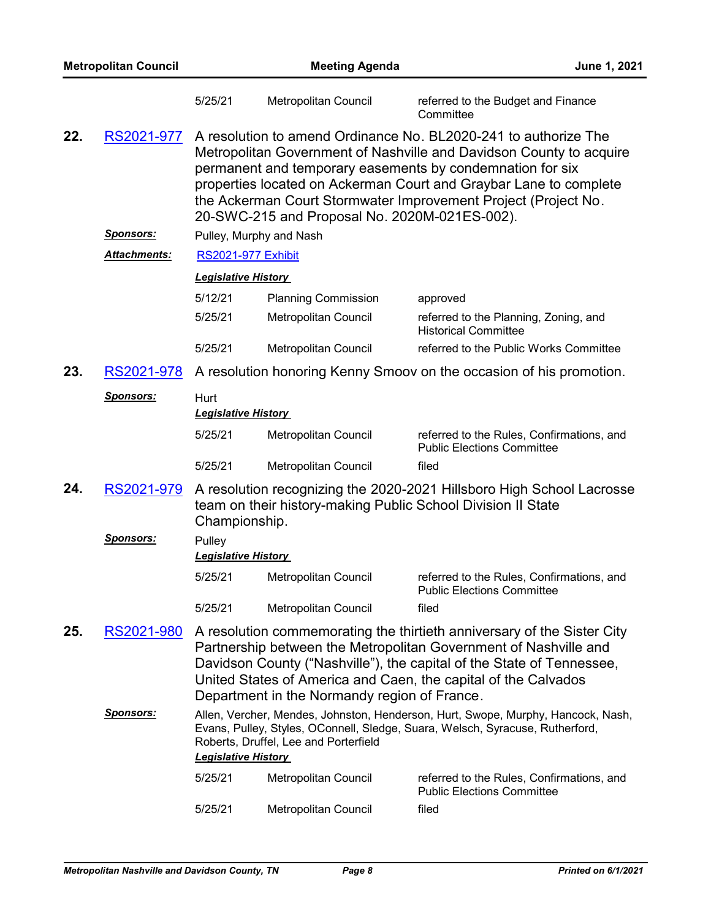| <b>Metropolitan Council</b> |                     |                                                                                                                                                                                                                                          | <b>Meeting Agenda</b><br>June 1, 2021         |                                                                                                                                                                                                                                                                                                                                            |
|-----------------------------|---------------------|------------------------------------------------------------------------------------------------------------------------------------------------------------------------------------------------------------------------------------------|-----------------------------------------------|--------------------------------------------------------------------------------------------------------------------------------------------------------------------------------------------------------------------------------------------------------------------------------------------------------------------------------------------|
|                             |                     | 5/25/21                                                                                                                                                                                                                                  | Metropolitan Council                          | referred to the Budget and Finance<br>Committee                                                                                                                                                                                                                                                                                            |
| 22.                         | RS2021-977          |                                                                                                                                                                                                                                          | 20-SWC-215 and Proposal No. 2020M-021ES-002). | A resolution to amend Ordinance No. BL2020-241 to authorize The<br>Metropolitan Government of Nashville and Davidson County to acquire<br>permanent and temporary easements by condemnation for six<br>properties located on Ackerman Court and Graybar Lane to complete<br>the Ackerman Court Stormwater Improvement Project (Project No. |
|                             | <u>Sponsors:</u>    |                                                                                                                                                                                                                                          | Pulley, Murphy and Nash                       |                                                                                                                                                                                                                                                                                                                                            |
|                             | <b>Attachments:</b> | <b>RS2021-977 Exhibit</b>                                                                                                                                                                                                                |                                               |                                                                                                                                                                                                                                                                                                                                            |
|                             |                     | <b>Legislative History</b>                                                                                                                                                                                                               |                                               |                                                                                                                                                                                                                                                                                                                                            |
|                             |                     | 5/12/21                                                                                                                                                                                                                                  | <b>Planning Commission</b>                    | approved                                                                                                                                                                                                                                                                                                                                   |
|                             |                     | 5/25/21                                                                                                                                                                                                                                  | Metropolitan Council                          | referred to the Planning, Zoning, and<br><b>Historical Committee</b>                                                                                                                                                                                                                                                                       |
|                             |                     | 5/25/21                                                                                                                                                                                                                                  | Metropolitan Council                          | referred to the Public Works Committee                                                                                                                                                                                                                                                                                                     |
| 23.                         | RS2021-978          |                                                                                                                                                                                                                                          |                                               | A resolution honoring Kenny Smoov on the occasion of his promotion.                                                                                                                                                                                                                                                                        |
|                             | <u>Sponsors:</u>    | Hurt<br><b>Legislative History</b>                                                                                                                                                                                                       |                                               |                                                                                                                                                                                                                                                                                                                                            |
|                             |                     | 5/25/21                                                                                                                                                                                                                                  | Metropolitan Council                          | referred to the Rules, Confirmations, and<br><b>Public Elections Committee</b>                                                                                                                                                                                                                                                             |
|                             |                     | 5/25/21                                                                                                                                                                                                                                  | Metropolitan Council                          | filed                                                                                                                                                                                                                                                                                                                                      |
| 24.                         | RS2021-979          | Championship.                                                                                                                                                                                                                            |                                               | A resolution recognizing the 2020-2021 Hillsboro High School Lacrosse<br>team on their history-making Public School Division II State                                                                                                                                                                                                      |
|                             | <b>Sponsors:</b>    | Pulley<br><b>Legislative History</b>                                                                                                                                                                                                     |                                               |                                                                                                                                                                                                                                                                                                                                            |
|                             |                     | 5/25/21                                                                                                                                                                                                                                  | Metropolitan Council                          | referred to the Rules, Confirmations, and<br><b>Public Elections Committee</b>                                                                                                                                                                                                                                                             |
|                             |                     | 5/25/21                                                                                                                                                                                                                                  | Metropolitan Council                          | filed                                                                                                                                                                                                                                                                                                                                      |
| 25.                         | RS2021-980          |                                                                                                                                                                                                                                          | Department in the Normandy region of France.  | A resolution commemorating the thirtieth anniversary of the Sister City<br>Partnership between the Metropolitan Government of Nashville and<br>Davidson County ("Nashville"), the capital of the State of Tennessee,<br>United States of America and Caen, the capital of the Calvados                                                     |
|                             | <u>Sponsors:</u>    | Allen, Vercher, Mendes, Johnston, Henderson, Hurt, Swope, Murphy, Hancock, Nash,<br>Evans, Pulley, Styles, OConnell, Sledge, Suara, Welsch, Syracuse, Rutherford,<br>Roberts, Druffel, Lee and Porterfield<br><b>Legislative History</b> |                                               |                                                                                                                                                                                                                                                                                                                                            |
|                             |                     | 5/25/21                                                                                                                                                                                                                                  | Metropolitan Council                          | referred to the Rules, Confirmations, and<br><b>Public Elections Committee</b>                                                                                                                                                                                                                                                             |
|                             |                     | 5/25/21                                                                                                                                                                                                                                  | Metropolitan Council                          | filed                                                                                                                                                                                                                                                                                                                                      |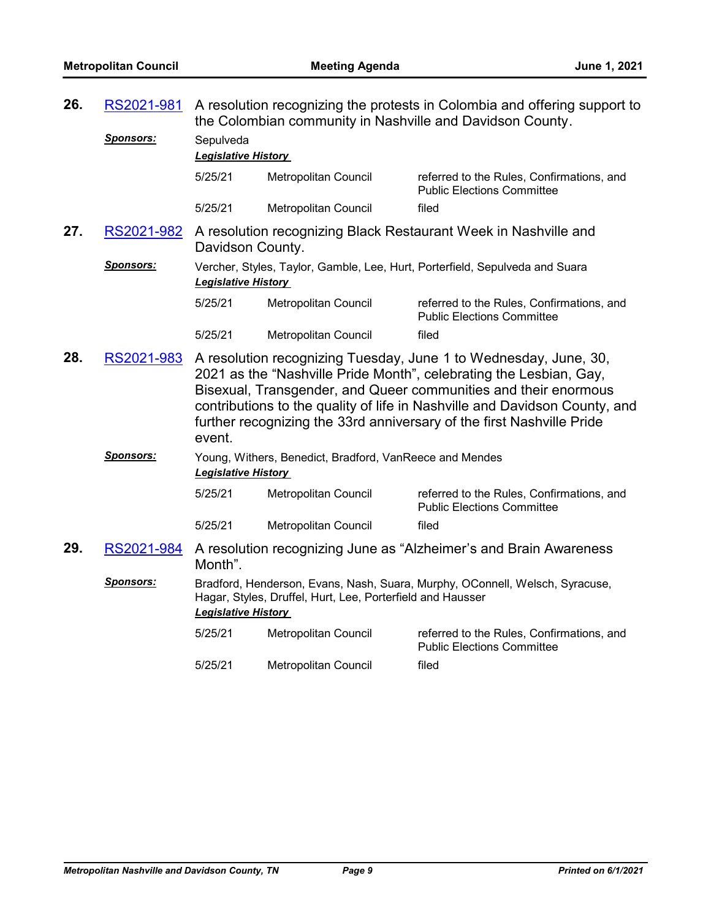| 26. | RS2021-981       | A resolution recognizing the protests in Colombia and offering support to<br>the Colombian community in Nashville and Davidson County.                                                                                                                                                                                                                                     |                                                            |                                                                                |  |  |
|-----|------------------|----------------------------------------------------------------------------------------------------------------------------------------------------------------------------------------------------------------------------------------------------------------------------------------------------------------------------------------------------------------------------|------------------------------------------------------------|--------------------------------------------------------------------------------|--|--|
|     | <b>Sponsors:</b> | Sepulveda                                                                                                                                                                                                                                                                                                                                                                  |                                                            |                                                                                |  |  |
|     |                  | <b>Legislative History</b>                                                                                                                                                                                                                                                                                                                                                 |                                                            |                                                                                |  |  |
|     |                  | 5/25/21                                                                                                                                                                                                                                                                                                                                                                    | Metropolitan Council                                       | referred to the Rules, Confirmations, and<br><b>Public Elections Committee</b> |  |  |
|     |                  | 5/25/21                                                                                                                                                                                                                                                                                                                                                                    | Metropolitan Council                                       | filed                                                                          |  |  |
| 27. | RS2021-982       | Davidson County.                                                                                                                                                                                                                                                                                                                                                           |                                                            | A resolution recognizing Black Restaurant Week in Nashville and                |  |  |
|     | <b>Sponsors:</b> | <b>Legislative History</b>                                                                                                                                                                                                                                                                                                                                                 |                                                            | Vercher, Styles, Taylor, Gamble, Lee, Hurt, Porterfield, Sepulveda and Suara   |  |  |
|     |                  | 5/25/21                                                                                                                                                                                                                                                                                                                                                                    | Metropolitan Council                                       | referred to the Rules, Confirmations, and<br><b>Public Elections Committee</b> |  |  |
|     |                  | 5/25/21                                                                                                                                                                                                                                                                                                                                                                    | Metropolitan Council                                       | filed                                                                          |  |  |
| 28. | RS2021-983       | A resolution recognizing Tuesday, June 1 to Wednesday, June, 30,<br>2021 as the "Nashville Pride Month", celebrating the Lesbian, Gay,<br>Bisexual, Transgender, and Queer communities and their enormous<br>contributions to the quality of life in Nashville and Davidson County, and<br>further recognizing the 33rd anniversary of the first Nashville Pride<br>event. |                                                            |                                                                                |  |  |
|     | Sponsors:        | <b>Legislative History</b>                                                                                                                                                                                                                                                                                                                                                 | Young, Withers, Benedict, Bradford, VanReece and Mendes    |                                                                                |  |  |
|     |                  | 5/25/21                                                                                                                                                                                                                                                                                                                                                                    | Metropolitan Council                                       | referred to the Rules, Confirmations, and<br><b>Public Elections Committee</b> |  |  |
|     |                  | 5/25/21                                                                                                                                                                                                                                                                                                                                                                    | Metropolitan Council                                       | filed                                                                          |  |  |
| 29. | RS2021-984       | Month".                                                                                                                                                                                                                                                                                                                                                                    |                                                            | A resolution recognizing June as "Alzheimer's and Brain Awareness              |  |  |
|     | <b>Sponsors:</b> | <b>Legislative History</b>                                                                                                                                                                                                                                                                                                                                                 | Hagar, Styles, Druffel, Hurt, Lee, Porterfield and Hausser | Bradford, Henderson, Evans, Nash, Suara, Murphy, OConnell, Welsch, Syracuse,   |  |  |
|     |                  | 5/25/21                                                                                                                                                                                                                                                                                                                                                                    | Metropolitan Council                                       | referred to the Rules, Confirmations, and<br><b>Public Elections Committee</b> |  |  |
|     |                  | 5/25/21                                                                                                                                                                                                                                                                                                                                                                    | Metropolitan Council                                       | filed                                                                          |  |  |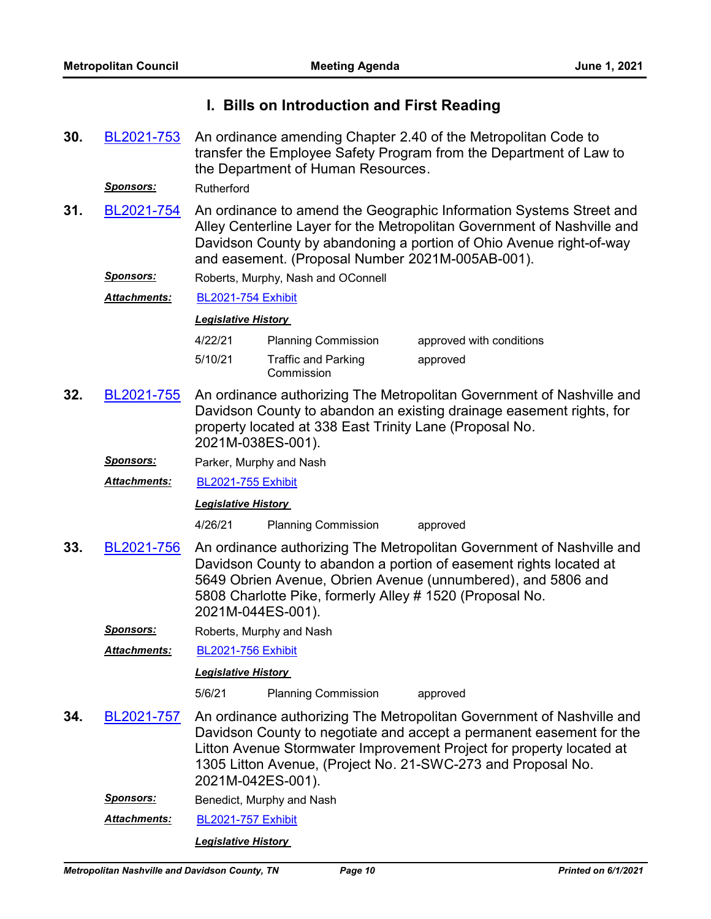## **I. Bills on Introduction and First Reading**

| 30.                                                                                                                                                                                                                                                                                                               | BL2021-753           | An ordinance amending Chapter 2.40 of the Metropolitan Code to<br>transfer the Employee Safety Program from the Department of Law to<br>the Department of Human Resources.                                                                                                                                 |                                                         |                                                                                                                                               |  |  |
|-------------------------------------------------------------------------------------------------------------------------------------------------------------------------------------------------------------------------------------------------------------------------------------------------------------------|----------------------|------------------------------------------------------------------------------------------------------------------------------------------------------------------------------------------------------------------------------------------------------------------------------------------------------------|---------------------------------------------------------|-----------------------------------------------------------------------------------------------------------------------------------------------|--|--|
|                                                                                                                                                                                                                                                                                                                   | <u>Sponsors:</u>     | Rutherford                                                                                                                                                                                                                                                                                                 |                                                         |                                                                                                                                               |  |  |
| 31.                                                                                                                                                                                                                                                                                                               | BL2021-754           | An ordinance to amend the Geographic Information Systems Street and<br>Alley Centerline Layer for the Metropolitan Government of Nashville and<br>Davidson County by abandoning a portion of Ohio Avenue right-of-way<br>and easement. (Proposal Number 2021M-005AB-001).                                  |                                                         |                                                                                                                                               |  |  |
|                                                                                                                                                                                                                                                                                                                   | <u>Sponsors:</u>     |                                                                                                                                                                                                                                                                                                            | Roberts, Murphy, Nash and OConnell                      |                                                                                                                                               |  |  |
|                                                                                                                                                                                                                                                                                                                   | Attachments:         | <b>BL2021-754 Exhibit</b>                                                                                                                                                                                                                                                                                  |                                                         |                                                                                                                                               |  |  |
|                                                                                                                                                                                                                                                                                                                   |                      | <b>Legislative History</b>                                                                                                                                                                                                                                                                                 |                                                         |                                                                                                                                               |  |  |
|                                                                                                                                                                                                                                                                                                                   |                      | 4/22/21                                                                                                                                                                                                                                                                                                    | <b>Planning Commission</b>                              | approved with conditions                                                                                                                      |  |  |
|                                                                                                                                                                                                                                                                                                                   |                      | 5/10/21                                                                                                                                                                                                                                                                                                    | <b>Traffic and Parking</b><br>Commission                | approved                                                                                                                                      |  |  |
| 32.                                                                                                                                                                                                                                                                                                               | BL2021-755           | 2021M-038ES-001).                                                                                                                                                                                                                                                                                          | property located at 338 East Trinity Lane (Proposal No. | An ordinance authorizing The Metropolitan Government of Nashville and<br>Davidson County to abandon an existing drainage easement rights, for |  |  |
|                                                                                                                                                                                                                                                                                                                   | <u>Sponsors:</u>     |                                                                                                                                                                                                                                                                                                            | Parker, Murphy and Nash                                 |                                                                                                                                               |  |  |
|                                                                                                                                                                                                                                                                                                                   | Attachments:         | <b>BL2021-755 Exhibit</b>                                                                                                                                                                                                                                                                                  |                                                         |                                                                                                                                               |  |  |
|                                                                                                                                                                                                                                                                                                                   |                      | <b>Legislative History</b>                                                                                                                                                                                                                                                                                 |                                                         |                                                                                                                                               |  |  |
|                                                                                                                                                                                                                                                                                                                   |                      | 4/26/21                                                                                                                                                                                                                                                                                                    | <b>Planning Commission</b>                              | approved                                                                                                                                      |  |  |
| An ordinance authorizing The Metropolitan Government of Nashville and<br>33.<br>BL2021-756<br>Davidson County to abandon a portion of easement rights located at<br>5649 Obrien Avenue, Obrien Avenue (unnumbered), and 5806 and<br>5808 Charlotte Pike, formerly Alley # 1520 (Proposal No.<br>2021M-044ES-001). |                      |                                                                                                                                                                                                                                                                                                            |                                                         |                                                                                                                                               |  |  |
|                                                                                                                                                                                                                                                                                                                   | <u>Sponsors:</u>     |                                                                                                                                                                                                                                                                                                            | Roberts, Murphy and Nash                                |                                                                                                                                               |  |  |
|                                                                                                                                                                                                                                                                                                                   | <u> Attachments:</u> | <b>BL2021-756 Exhibit</b>                                                                                                                                                                                                                                                                                  |                                                         |                                                                                                                                               |  |  |
|                                                                                                                                                                                                                                                                                                                   |                      | <b>Legislative History</b>                                                                                                                                                                                                                                                                                 |                                                         |                                                                                                                                               |  |  |
|                                                                                                                                                                                                                                                                                                                   |                      | 5/6/21                                                                                                                                                                                                                                                                                                     | <b>Planning Commission</b>                              | approved                                                                                                                                      |  |  |
| 34.                                                                                                                                                                                                                                                                                                               | BL2021-757           | An ordinance authorizing The Metropolitan Government of Nashville and<br>Davidson County to negotiate and accept a permanent easement for the<br>Litton Avenue Stormwater Improvement Project for property located at<br>1305 Litton Avenue, (Project No. 21-SWC-273 and Proposal No.<br>2021M-042ES-001). |                                                         |                                                                                                                                               |  |  |
|                                                                                                                                                                                                                                                                                                                   | <u>Sponsors:</u>     |                                                                                                                                                                                                                                                                                                            | Benedict, Murphy and Nash                               |                                                                                                                                               |  |  |
|                                                                                                                                                                                                                                                                                                                   | Attachments:         | <b>BL2021-757 Exhibit</b>                                                                                                                                                                                                                                                                                  |                                                         |                                                                                                                                               |  |  |
|                                                                                                                                                                                                                                                                                                                   |                      | <b>Legislative History</b>                                                                                                                                                                                                                                                                                 |                                                         |                                                                                                                                               |  |  |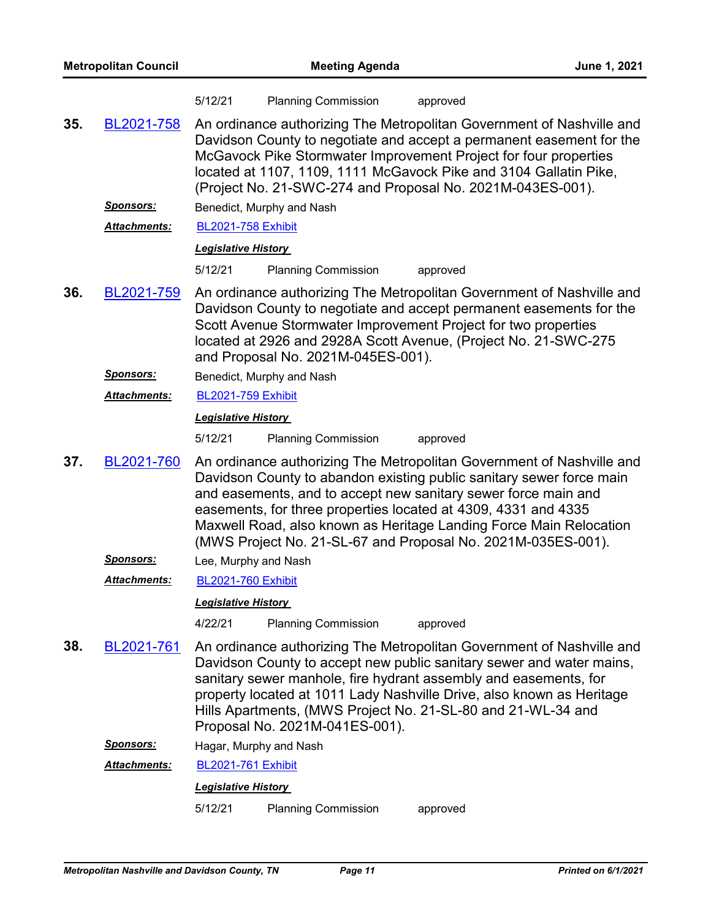|     |                     | 5/12/21                    | <b>Planning Commission</b>         | approved                                                                                                                                                                                                                                                                                                                                                                                                                |
|-----|---------------------|----------------------------|------------------------------------|-------------------------------------------------------------------------------------------------------------------------------------------------------------------------------------------------------------------------------------------------------------------------------------------------------------------------------------------------------------------------------------------------------------------------|
| 35. | BL2021-758          |                            |                                    | An ordinance authorizing The Metropolitan Government of Nashville and<br>Davidson County to negotiate and accept a permanent easement for the<br>McGavock Pike Stormwater Improvement Project for four properties<br>located at 1107, 1109, 1111 McGavock Pike and 3104 Gallatin Pike,<br>(Project No. 21-SWC-274 and Proposal No. 2021M-043ES-001).                                                                    |
|     | <u>Sponsors:</u>    |                            | Benedict, Murphy and Nash          |                                                                                                                                                                                                                                                                                                                                                                                                                         |
|     | <b>Attachments:</b> | <b>BL2021-758 Exhibit</b>  |                                    |                                                                                                                                                                                                                                                                                                                                                                                                                         |
|     |                     | <b>Legislative History</b> |                                    |                                                                                                                                                                                                                                                                                                                                                                                                                         |
|     |                     | 5/12/21                    | <b>Planning Commission</b>         | approved                                                                                                                                                                                                                                                                                                                                                                                                                |
| 36. | BL2021-759          |                            | and Proposal No. 2021M-045ES-001). | An ordinance authorizing The Metropolitan Government of Nashville and<br>Davidson County to negotiate and accept permanent easements for the<br>Scott Avenue Stormwater Improvement Project for two properties<br>located at 2926 and 2928A Scott Avenue, (Project No. 21-SWC-275                                                                                                                                       |
|     | <u>Sponsors:</u>    |                            | Benedict, Murphy and Nash          |                                                                                                                                                                                                                                                                                                                                                                                                                         |
|     | <b>Attachments:</b> | <b>BL2021-759 Exhibit</b>  |                                    |                                                                                                                                                                                                                                                                                                                                                                                                                         |
|     |                     | <b>Legislative History</b> |                                    |                                                                                                                                                                                                                                                                                                                                                                                                                         |
|     |                     | 5/12/21                    | <b>Planning Commission</b>         | approved                                                                                                                                                                                                                                                                                                                                                                                                                |
| 37. | BL2021-760          |                            |                                    | An ordinance authorizing The Metropolitan Government of Nashville and<br>Davidson County to abandon existing public sanitary sewer force main<br>and easements, and to accept new sanitary sewer force main and<br>easements, for three properties located at 4309, 4331 and 4335<br>Maxwell Road, also known as Heritage Landing Force Main Relocation<br>(MWS Project No. 21-SL-67 and Proposal No. 2021M-035ES-001). |
|     | <u>Sponsors:</u>    | Lee, Murphy and Nash       |                                    |                                                                                                                                                                                                                                                                                                                                                                                                                         |
|     | <b>Attachments:</b> | <b>BL2021-760 Exhibit</b>  |                                    |                                                                                                                                                                                                                                                                                                                                                                                                                         |
|     |                     | <b>Legislative History</b> |                                    |                                                                                                                                                                                                                                                                                                                                                                                                                         |
|     |                     | 4/22/21                    | <b>Planning Commission</b>         | approved                                                                                                                                                                                                                                                                                                                                                                                                                |
| 38. | BL2021-761          |                            | Proposal No. 2021M-041ES-001).     | An ordinance authorizing The Metropolitan Government of Nashville and<br>Davidson County to accept new public sanitary sewer and water mains,<br>sanitary sewer manhole, fire hydrant assembly and easements, for<br>property located at 1011 Lady Nashville Drive, also known as Heritage<br>Hills Apartments, (MWS Project No. 21-SL-80 and 21-WL-34 and                                                              |
|     | <u>Sponsors:</u>    | Hagar, Murphy and Nash     |                                    |                                                                                                                                                                                                                                                                                                                                                                                                                         |
|     | Attachments:        | <b>BL2021-761 Exhibit</b>  |                                    |                                                                                                                                                                                                                                                                                                                                                                                                                         |
|     |                     | <b>Legislative History</b> |                                    |                                                                                                                                                                                                                                                                                                                                                                                                                         |
|     |                     | 5/12/21                    | <b>Planning Commission</b>         | approved                                                                                                                                                                                                                                                                                                                                                                                                                |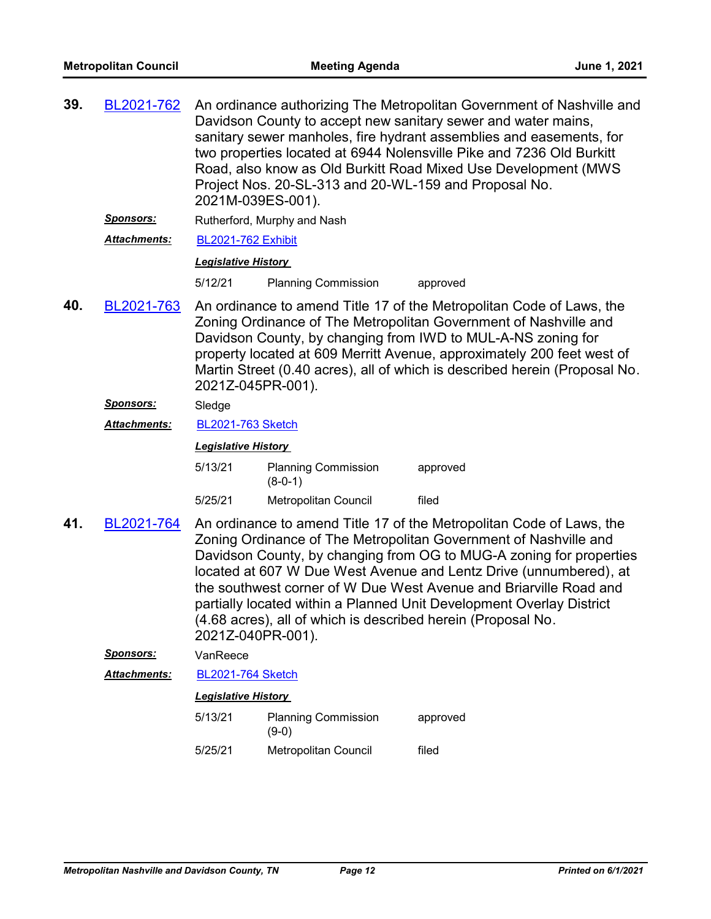| 39. | BL2021-762       | An ordinance authorizing The Metropolitan Government of Nashville and<br>Davidson County to accept new sanitary sewer and water mains,<br>sanitary sewer manholes, fire hydrant assemblies and easements, for<br>two properties located at 6944 Nolensville Pike and 7236 Old Burkitt<br>Road, also know as Old Burkitt Road Mixed Use Development (MWS<br>Project Nos. 20-SL-313 and 20-WL-159 and Proposal No.<br>2021M-039ES-001). |                                                              |                                                                                                                                                                                                                                                                                                                                                                                                                                   |
|-----|------------------|---------------------------------------------------------------------------------------------------------------------------------------------------------------------------------------------------------------------------------------------------------------------------------------------------------------------------------------------------------------------------------------------------------------------------------------|--------------------------------------------------------------|-----------------------------------------------------------------------------------------------------------------------------------------------------------------------------------------------------------------------------------------------------------------------------------------------------------------------------------------------------------------------------------------------------------------------------------|
|     | <u>Sponsors:</u> |                                                                                                                                                                                                                                                                                                                                                                                                                                       | Rutherford, Murphy and Nash                                  |                                                                                                                                                                                                                                                                                                                                                                                                                                   |
|     | Attachments:     | <b>BL2021-762 Exhibit</b>                                                                                                                                                                                                                                                                                                                                                                                                             |                                                              |                                                                                                                                                                                                                                                                                                                                                                                                                                   |
|     |                  | <b>Legislative History</b>                                                                                                                                                                                                                                                                                                                                                                                                            |                                                              |                                                                                                                                                                                                                                                                                                                                                                                                                                   |
|     |                  | 5/12/21                                                                                                                                                                                                                                                                                                                                                                                                                               | <b>Planning Commission</b>                                   | approved                                                                                                                                                                                                                                                                                                                                                                                                                          |
| 40. | BL2021-763       | An ordinance to amend Title 17 of the Metropolitan Code of Laws, the<br>Zoning Ordinance of The Metropolitan Government of Nashville and<br>Davidson County, by changing from IWD to MUL-A-NS zoning for<br>property located at 609 Merritt Avenue, approximately 200 feet west of<br>Martin Street (0.40 acres), all of which is described herein (Proposal No.<br>2021Z-045PR-001).                                                 |                                                              |                                                                                                                                                                                                                                                                                                                                                                                                                                   |
|     | <b>Sponsors:</b> | Sledge                                                                                                                                                                                                                                                                                                                                                                                                                                |                                                              |                                                                                                                                                                                                                                                                                                                                                                                                                                   |
|     | Attachments:     | <b>BL2021-763 Sketch</b>                                                                                                                                                                                                                                                                                                                                                                                                              |                                                              |                                                                                                                                                                                                                                                                                                                                                                                                                                   |
|     |                  | <b>Legislative History</b>                                                                                                                                                                                                                                                                                                                                                                                                            |                                                              |                                                                                                                                                                                                                                                                                                                                                                                                                                   |
|     |                  | 5/13/21                                                                                                                                                                                                                                                                                                                                                                                                                               | <b>Planning Commission</b><br>$(8-0-1)$                      | approved                                                                                                                                                                                                                                                                                                                                                                                                                          |
|     |                  | 5/25/21                                                                                                                                                                                                                                                                                                                                                                                                                               | Metropolitan Council                                         | filed                                                                                                                                                                                                                                                                                                                                                                                                                             |
| 41. | BL2021-764       | 2021Z-040PR-001).                                                                                                                                                                                                                                                                                                                                                                                                                     | (4.68 acres), all of which is described herein (Proposal No. | An ordinance to amend Title 17 of the Metropolitan Code of Laws, the<br>Zoning Ordinance of The Metropolitan Government of Nashville and<br>Davidson County, by changing from OG to MUG-A zoning for properties<br>located at 607 W Due West Avenue and Lentz Drive (unnumbered), at<br>the southwest corner of W Due West Avenue and Briarville Road and<br>partially located within a Planned Unit Development Overlay District |
|     | <b>Sponsors:</b> | VanReece                                                                                                                                                                                                                                                                                                                                                                                                                              |                                                              |                                                                                                                                                                                                                                                                                                                                                                                                                                   |
|     | Attachments:     | <b>BL2021-764 Sketch</b>                                                                                                                                                                                                                                                                                                                                                                                                              |                                                              |                                                                                                                                                                                                                                                                                                                                                                                                                                   |
|     |                  | <b>Legislative History</b>                                                                                                                                                                                                                                                                                                                                                                                                            |                                                              |                                                                                                                                                                                                                                                                                                                                                                                                                                   |
|     |                  | 5/13/21                                                                                                                                                                                                                                                                                                                                                                                                                               | <b>Planning Commission</b><br>$(9-0)$                        | approved                                                                                                                                                                                                                                                                                                                                                                                                                          |
|     |                  | 5/25/21                                                                                                                                                                                                                                                                                                                                                                                                                               | <b>Metropolitan Council</b>                                  | filed                                                                                                                                                                                                                                                                                                                                                                                                                             |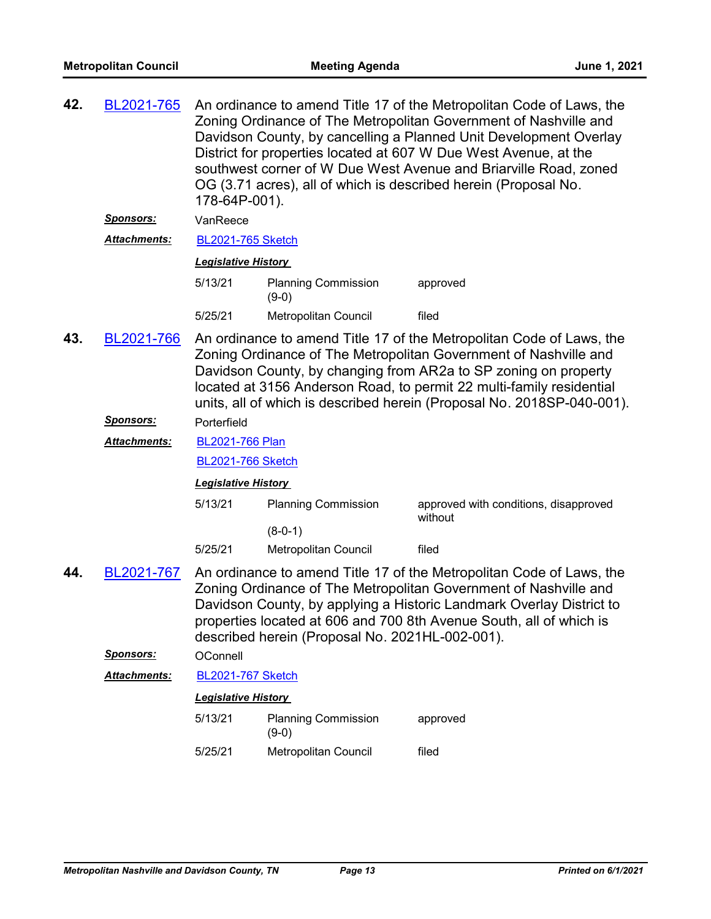| 42. | BL2021-765                                                                                                                                                                                                                                                                                                                                                                  | An ordinance to amend Title 17 of the Metropolitan Code of Laws, the<br>Zoning Ordinance of The Metropolitan Government of Nashville and<br>Davidson County, by cancelling a Planned Unit Development Overlay<br>District for properties located at 607 W Due West Avenue, at the<br>southwest corner of W Due West Avenue and Briarville Road, zoned<br>OG (3.71 acres), all of which is described herein (Proposal No.<br>178-64P-001). |                                       |                                                  |
|-----|-----------------------------------------------------------------------------------------------------------------------------------------------------------------------------------------------------------------------------------------------------------------------------------------------------------------------------------------------------------------------------|-------------------------------------------------------------------------------------------------------------------------------------------------------------------------------------------------------------------------------------------------------------------------------------------------------------------------------------------------------------------------------------------------------------------------------------------|---------------------------------------|--------------------------------------------------|
|     | <u>Sponsors:</u>                                                                                                                                                                                                                                                                                                                                                            | VanReece                                                                                                                                                                                                                                                                                                                                                                                                                                  |                                       |                                                  |
|     | <b>Attachments:</b>                                                                                                                                                                                                                                                                                                                                                         | <b>BL2021-765 Sketch</b>                                                                                                                                                                                                                                                                                                                                                                                                                  |                                       |                                                  |
|     |                                                                                                                                                                                                                                                                                                                                                                             | <b>Legislative History</b>                                                                                                                                                                                                                                                                                                                                                                                                                |                                       |                                                  |
|     |                                                                                                                                                                                                                                                                                                                                                                             | 5/13/21                                                                                                                                                                                                                                                                                                                                                                                                                                   | <b>Planning Commission</b><br>$(9-0)$ | approved                                         |
|     |                                                                                                                                                                                                                                                                                                                                                                             | 5/25/21                                                                                                                                                                                                                                                                                                                                                                                                                                   | Metropolitan Council                  | filed                                            |
| 43. | An ordinance to amend Title 17 of the Metropolitan Code of Laws, the<br>BL2021-766<br>Zoning Ordinance of The Metropolitan Government of Nashville and<br>Davidson County, by changing from AR2a to SP zoning on property<br>located at 3156 Anderson Road, to permit 22 multi-family residential<br>units, all of which is described herein (Proposal No. 2018SP-040-001). |                                                                                                                                                                                                                                                                                                                                                                                                                                           |                                       |                                                  |
|     | <u>Sponsors:</u>                                                                                                                                                                                                                                                                                                                                                            | Porterfield                                                                                                                                                                                                                                                                                                                                                                                                                               |                                       |                                                  |
|     | Attachments:                                                                                                                                                                                                                                                                                                                                                                | <b>BL2021-766 Plan</b>                                                                                                                                                                                                                                                                                                                                                                                                                    |                                       |                                                  |
|     |                                                                                                                                                                                                                                                                                                                                                                             | <b>BL2021-766 Sketch</b>                                                                                                                                                                                                                                                                                                                                                                                                                  |                                       |                                                  |
|     |                                                                                                                                                                                                                                                                                                                                                                             | <b>Legislative History</b>                                                                                                                                                                                                                                                                                                                                                                                                                |                                       |                                                  |
|     |                                                                                                                                                                                                                                                                                                                                                                             | 5/13/21                                                                                                                                                                                                                                                                                                                                                                                                                                   | <b>Planning Commission</b>            | approved with conditions, disapproved<br>without |
|     |                                                                                                                                                                                                                                                                                                                                                                             | 5/25/21                                                                                                                                                                                                                                                                                                                                                                                                                                   | $(8-0-1)$                             | filed                                            |
|     |                                                                                                                                                                                                                                                                                                                                                                             |                                                                                                                                                                                                                                                                                                                                                                                                                                           | Metropolitan Council                  |                                                  |
| 44. | An ordinance to amend Title 17 of the Metropolitan Code of Laws, the<br>BL2021-767<br>Zoning Ordinance of The Metropolitan Government of Nashville and<br>Davidson County, by applying a Historic Landmark Overlay District to<br>properties located at 606 and 700 8th Avenue South, all of which is<br>described herein (Proposal No. 2021HL-002-001).                    |                                                                                                                                                                                                                                                                                                                                                                                                                                           |                                       |                                                  |
|     | Sponsors:                                                                                                                                                                                                                                                                                                                                                                   | OConnell                                                                                                                                                                                                                                                                                                                                                                                                                                  |                                       |                                                  |
|     | Attachments:                                                                                                                                                                                                                                                                                                                                                                | <b>BL2021-767 Sketch</b>                                                                                                                                                                                                                                                                                                                                                                                                                  |                                       |                                                  |
|     |                                                                                                                                                                                                                                                                                                                                                                             | <b>Legislative History</b>                                                                                                                                                                                                                                                                                                                                                                                                                |                                       |                                                  |
|     |                                                                                                                                                                                                                                                                                                                                                                             | 5/13/21                                                                                                                                                                                                                                                                                                                                                                                                                                   | <b>Planning Commission</b><br>$(9-0)$ | approved                                         |
|     |                                                                                                                                                                                                                                                                                                                                                                             | 5/25/21                                                                                                                                                                                                                                                                                                                                                                                                                                   | Metropolitan Council                  | filed                                            |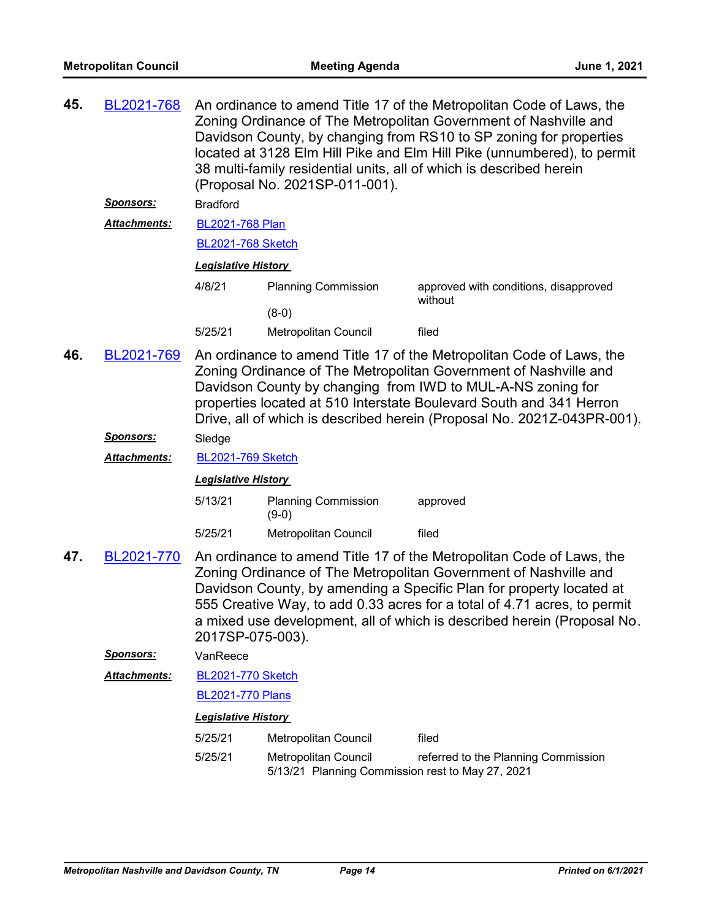| BL2021-768<br><u>Sponsors:</u> | An ordinance to amend Title 17 of the Metropolitan Code of Laws, the<br>Zoning Ordinance of The Metropolitan Government of Nashville and<br>Davidson County, by changing from RS10 to SP zoning for properties<br>located at 3128 Elm Hill Pike and Elm Hill Pike (unnumbered), to permit<br>38 multi-family residential units, all of which is described herein<br>(Proposal No. 2021SP-011-001).<br><b>Bradford</b> |                                                                          |                                                                                                                                                                                                                       |  |
|--------------------------------|-----------------------------------------------------------------------------------------------------------------------------------------------------------------------------------------------------------------------------------------------------------------------------------------------------------------------------------------------------------------------------------------------------------------------|--------------------------------------------------------------------------|-----------------------------------------------------------------------------------------------------------------------------------------------------------------------------------------------------------------------|--|
|                                |                                                                                                                                                                                                                                                                                                                                                                                                                       |                                                                          |                                                                                                                                                                                                                       |  |
|                                | <b>Legislative History</b>                                                                                                                                                                                                                                                                                                                                                                                            |                                                                          |                                                                                                                                                                                                                       |  |
|                                | 4/8/21                                                                                                                                                                                                                                                                                                                                                                                                                | <b>Planning Commission</b>                                               | approved with conditions, disapproved<br>without                                                                                                                                                                      |  |
|                                |                                                                                                                                                                                                                                                                                                                                                                                                                       | $(8-0)$                                                                  |                                                                                                                                                                                                                       |  |
|                                | 5/25/21                                                                                                                                                                                                                                                                                                                                                                                                               | Metropolitan Council                                                     | filed                                                                                                                                                                                                                 |  |
| BL2021-769                     | An ordinance to amend Title 17 of the Metropolitan Code of Laws, the<br>Zoning Ordinance of The Metropolitan Government of Nashville and<br>Davidson County by changing from IWD to MUL-A-NS zoning for<br>properties located at 510 Interstate Boulevard South and 341 Herron<br>Drive, all of which is described herein (Proposal No. 2021Z-043PR-001).                                                             |                                                                          |                                                                                                                                                                                                                       |  |
| Sponsors:                      | Sledge                                                                                                                                                                                                                                                                                                                                                                                                                |                                                                          |                                                                                                                                                                                                                       |  |
| Attachments:                   |                                                                                                                                                                                                                                                                                                                                                                                                                       |                                                                          |                                                                                                                                                                                                                       |  |
|                                |                                                                                                                                                                                                                                                                                                                                                                                                                       |                                                                          |                                                                                                                                                                                                                       |  |
|                                | 5/13/21                                                                                                                                                                                                                                                                                                                                                                                                               | <b>Planning Commission</b><br>$(9-0)$                                    | approved                                                                                                                                                                                                              |  |
|                                | 5/25/21                                                                                                                                                                                                                                                                                                                                                                                                               | Metropolitan Council                                                     | filed                                                                                                                                                                                                                 |  |
| BL2021-770                     | An ordinance to amend Title 17 of the Metropolitan Code of Laws, the<br>Zoning Ordinance of The Metropolitan Government of Nashville and<br>Davidson County, by amending a Specific Plan for property located at<br>555 Creative Way, to add 0.33 acres for a total of 4.71 acres, to permit<br>a mixed use development, all of which is described herein (Proposal No.                                               |                                                                          |                                                                                                                                                                                                                       |  |
| Sponsors:                      | VanReece                                                                                                                                                                                                                                                                                                                                                                                                              |                                                                          |                                                                                                                                                                                                                       |  |
| <b>Attachments:</b>            |                                                                                                                                                                                                                                                                                                                                                                                                                       |                                                                          |                                                                                                                                                                                                                       |  |
|                                |                                                                                                                                                                                                                                                                                                                                                                                                                       |                                                                          |                                                                                                                                                                                                                       |  |
|                                |                                                                                                                                                                                                                                                                                                                                                                                                                       |                                                                          |                                                                                                                                                                                                                       |  |
|                                | 5/25/21                                                                                                                                                                                                                                                                                                                                                                                                               | Metropolitan Council                                                     | filed                                                                                                                                                                                                                 |  |
|                                | 5/25/21                                                                                                                                                                                                                                                                                                                                                                                                               | Metropolitan Council<br>5/13/21 Planning Commission rest to May 27, 2021 | referred to the Planning Commission                                                                                                                                                                                   |  |
|                                | Attachments:                                                                                                                                                                                                                                                                                                                                                                                                          |                                                                          | <b>BL2021-768 Plan</b><br><b>BL2021-768 Sketch</b><br><b>BL2021-769 Sketch</b><br><b>Legislative History</b><br>2017SP-075-003).<br><b>BL2021-770 Sketch</b><br><b>BL2021-770 Plans</b><br><b>Legislative History</b> |  |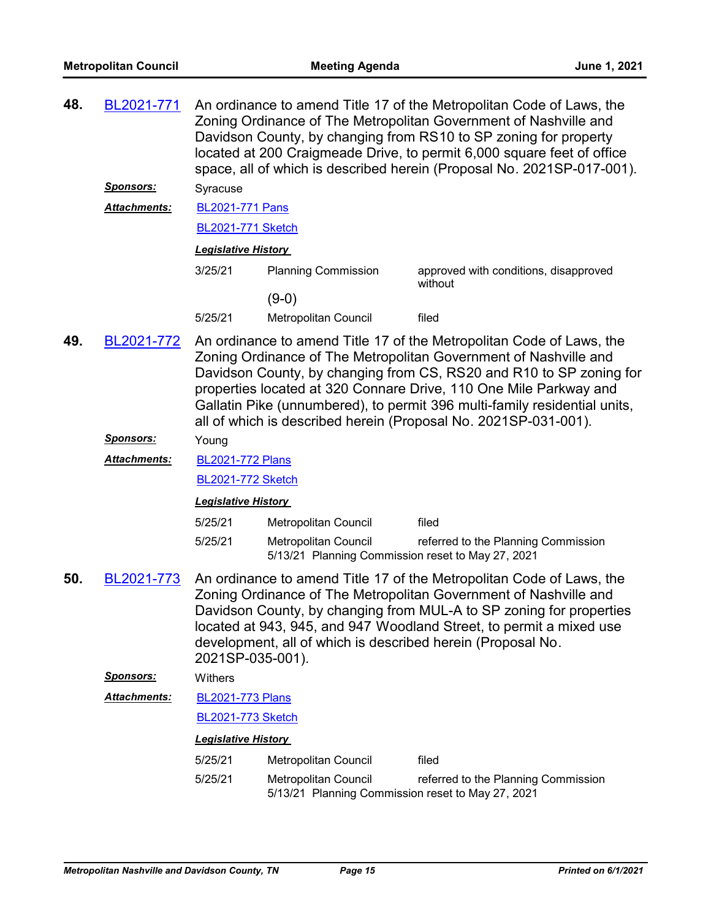| 48.                                                                       | BL2021-771       | An ordinance to amend Title 17 of the Metropolitan Code of Laws, the<br>Zoning Ordinance of The Metropolitan Government of Nashville and<br>Davidson County, by changing from RS10 to SP zoning for property<br>located at 200 Craigmeade Drive, to permit 6,000 square feet of office<br>space, all of which is described herein (Proposal No. 2021SP-017-001). |                                                                                                                                                                                                                                                                                                                                                                                                                                      |                                                  |  |  |
|---------------------------------------------------------------------------|------------------|------------------------------------------------------------------------------------------------------------------------------------------------------------------------------------------------------------------------------------------------------------------------------------------------------------------------------------------------------------------|--------------------------------------------------------------------------------------------------------------------------------------------------------------------------------------------------------------------------------------------------------------------------------------------------------------------------------------------------------------------------------------------------------------------------------------|--------------------------------------------------|--|--|
|                                                                           | <u>Sponsors:</u> | Syracuse                                                                                                                                                                                                                                                                                                                                                         |                                                                                                                                                                                                                                                                                                                                                                                                                                      |                                                  |  |  |
| <b>BL2021-771 Pans</b><br><b>Attachments:</b><br><b>BL2021-771 Sketch</b> |                  |                                                                                                                                                                                                                                                                                                                                                                  |                                                                                                                                                                                                                                                                                                                                                                                                                                      |                                                  |  |  |
|                                                                           |                  |                                                                                                                                                                                                                                                                                                                                                                  |                                                                                                                                                                                                                                                                                                                                                                                                                                      |                                                  |  |  |
|                                                                           |                  | <b>Legislative History</b>                                                                                                                                                                                                                                                                                                                                       |                                                                                                                                                                                                                                                                                                                                                                                                                                      |                                                  |  |  |
|                                                                           |                  | 3/25/21                                                                                                                                                                                                                                                                                                                                                          | <b>Planning Commission</b>                                                                                                                                                                                                                                                                                                                                                                                                           | approved with conditions, disapproved<br>without |  |  |
|                                                                           |                  |                                                                                                                                                                                                                                                                                                                                                                  | $(9-0)$                                                                                                                                                                                                                                                                                                                                                                                                                              |                                                  |  |  |
|                                                                           |                  | 5/25/21                                                                                                                                                                                                                                                                                                                                                          | Metropolitan Council                                                                                                                                                                                                                                                                                                                                                                                                                 | filed                                            |  |  |
| 49.<br>BL2021-772                                                         |                  |                                                                                                                                                                                                                                                                                                                                                                  | An ordinance to amend Title 17 of the Metropolitan Code of Laws, the<br>Zoning Ordinance of The Metropolitan Government of Nashville and<br>Davidson County, by changing from CS, RS20 and R10 to SP zoning for<br>properties located at 320 Connare Drive, 110 One Mile Parkway and<br>Gallatin Pike (unnumbered), to permit 396 multi-family residential units,<br>all of which is described herein (Proposal No. 2021SP-031-001). |                                                  |  |  |
|                                                                           | <b>Sponsors:</b> | Young                                                                                                                                                                                                                                                                                                                                                            |                                                                                                                                                                                                                                                                                                                                                                                                                                      |                                                  |  |  |
|                                                                           | Attachments:     | <b>BL2021-772 Plans</b>                                                                                                                                                                                                                                                                                                                                          |                                                                                                                                                                                                                                                                                                                                                                                                                                      |                                                  |  |  |
|                                                                           |                  | <b>BL2021-772 Sketch</b>                                                                                                                                                                                                                                                                                                                                         |                                                                                                                                                                                                                                                                                                                                                                                                                                      |                                                  |  |  |
|                                                                           |                  | <b>Legislative History</b>                                                                                                                                                                                                                                                                                                                                       |                                                                                                                                                                                                                                                                                                                                                                                                                                      |                                                  |  |  |
|                                                                           |                  | 5/25/21                                                                                                                                                                                                                                                                                                                                                          | <b>Metropolitan Council</b>                                                                                                                                                                                                                                                                                                                                                                                                          | filed                                            |  |  |
|                                                                           |                  | 5/25/21                                                                                                                                                                                                                                                                                                                                                          | <b>Metropolitan Council</b><br>5/13/21 Planning Commission reset to May 27, 2021                                                                                                                                                                                                                                                                                                                                                     | referred to the Planning Commission              |  |  |

An ordinance to amend Title 17 of the Metropolitan Code of Laws, the Zoning Ordinance of The Metropolitan Government of Nashville and Davidson County, by changing from MUL-A to SP zoning for properties located at 943, 945, and 947 Woodland Street, to permit a mixed use development, all of which is described herein (Proposal No. 2021SP-035-001). **50.** [BL2021-773](http://nashville.legistar.com/gateway.aspx?m=l&id=/matter.aspx?key=2312)

*Sponsors:* Withers

[BL2021-773 Plans](http://nashville.legistar.com/gateway.aspx?M=F&ID=a93d627f-ab22-4de7-8897-056a6b27e754.pdf) *Attachments:*

[BL2021-773 Sketch](http://nashville.legistar.com/gateway.aspx?M=F&ID=ce7a69fd-2ccb-4691-9332-12ff9ae39111.docx)

| 5/25/21 | Metropolitan Council                              | filed                               |
|---------|---------------------------------------------------|-------------------------------------|
| 5/25/21 | Metropolitan Council                              | referred to the Planning Commission |
|         | 5/13/21 Planning Commission reset to May 27, 2021 |                                     |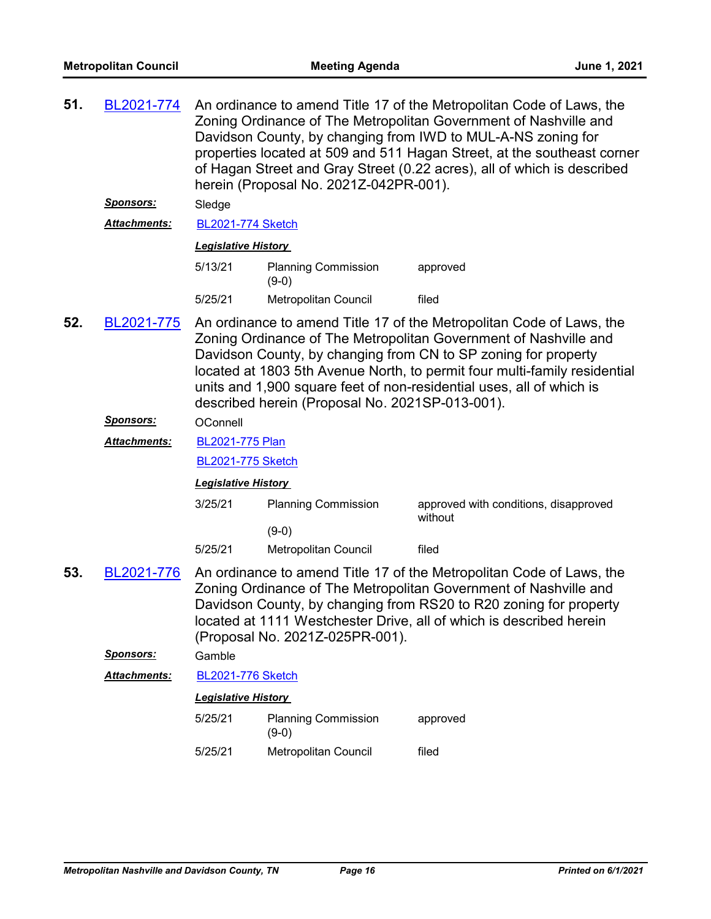| 51. | BL2021-774<br>Sponsors: | An ordinance to amend Title 17 of the Metropolitan Code of Laws, the<br>Zoning Ordinance of The Metropolitan Government of Nashville and<br>Davidson County, by changing from IWD to MUL-A-NS zoning for<br>properties located at 509 and 511 Hagan Street, at the southeast corner<br>of Hagan Street and Gray Street (0.22 acres), all of which is described<br>herein (Proposal No. 2021Z-042PR-001).<br>Sledge |                                       |                                                                                                                                                                                                                                                                                      |  |  |  |
|-----|-------------------------|--------------------------------------------------------------------------------------------------------------------------------------------------------------------------------------------------------------------------------------------------------------------------------------------------------------------------------------------------------------------------------------------------------------------|---------------------------------------|--------------------------------------------------------------------------------------------------------------------------------------------------------------------------------------------------------------------------------------------------------------------------------------|--|--|--|
|     | Attachments:            |                                                                                                                                                                                                                                                                                                                                                                                                                    | <b>BL2021-774 Sketch</b>              |                                                                                                                                                                                                                                                                                      |  |  |  |
|     |                         |                                                                                                                                                                                                                                                                                                                                                                                                                    | <b>Legislative History</b>            |                                                                                                                                                                                                                                                                                      |  |  |  |
|     |                         | 5/13/21                                                                                                                                                                                                                                                                                                                                                                                                            | <b>Planning Commission</b><br>$(9-0)$ | approved                                                                                                                                                                                                                                                                             |  |  |  |
|     |                         | 5/25/21                                                                                                                                                                                                                                                                                                                                                                                                            | Metropolitan Council                  | filed                                                                                                                                                                                                                                                                                |  |  |  |
| 52. | BL2021-775              | An ordinance to amend Title 17 of the Metropolitan Code of Laws, the<br>Zoning Ordinance of The Metropolitan Government of Nashville and<br>Davidson County, by changing from CN to SP zoning for property<br>located at 1803 5th Avenue North, to permit four multi-family residential<br>units and 1,900 square feet of non-residential uses, all of which is<br>described herein (Proposal No. 2021SP-013-001). |                                       |                                                                                                                                                                                                                                                                                      |  |  |  |
|     | <u>Sponsors:</u>        | OConnell                                                                                                                                                                                                                                                                                                                                                                                                           |                                       |                                                                                                                                                                                                                                                                                      |  |  |  |
|     | Attachments:            | BL2021-775 Plan                                                                                                                                                                                                                                                                                                                                                                                                    |                                       |                                                                                                                                                                                                                                                                                      |  |  |  |
|     |                         | <b>BL2021-775 Sketch</b>                                                                                                                                                                                                                                                                                                                                                                                           |                                       |                                                                                                                                                                                                                                                                                      |  |  |  |
|     |                         | <b>Legislative History</b>                                                                                                                                                                                                                                                                                                                                                                                         |                                       |                                                                                                                                                                                                                                                                                      |  |  |  |
|     |                         | 3/25/21                                                                                                                                                                                                                                                                                                                                                                                                            | <b>Planning Commission</b><br>$(9-0)$ | approved with conditions, disapproved<br>without                                                                                                                                                                                                                                     |  |  |  |
|     |                         | 5/25/21                                                                                                                                                                                                                                                                                                                                                                                                            | Metropolitan Council                  | filed                                                                                                                                                                                                                                                                                |  |  |  |
| 53. | BL2021-776              |                                                                                                                                                                                                                                                                                                                                                                                                                    | (Proposal No. 2021Z-025PR-001).       | An ordinance to amend Title 17 of the Metropolitan Code of Laws, the<br>Zoning Ordinance of The Metropolitan Government of Nashville and<br>Davidson County, by changing from RS20 to R20 zoning for property<br>located at 1111 Westchester Drive, all of which is described herein |  |  |  |
|     | <b>Sponsors:</b>        | Gamble                                                                                                                                                                                                                                                                                                                                                                                                             |                                       |                                                                                                                                                                                                                                                                                      |  |  |  |
|     | Attachments:            | <b>BL2021-776 Sketch</b>                                                                                                                                                                                                                                                                                                                                                                                           |                                       |                                                                                                                                                                                                                                                                                      |  |  |  |
|     |                         | <b>Legislative History</b>                                                                                                                                                                                                                                                                                                                                                                                         |                                       |                                                                                                                                                                                                                                                                                      |  |  |  |
|     |                         | 5/25/21                                                                                                                                                                                                                                                                                                                                                                                                            | <b>Planning Commission</b><br>$(9-0)$ | approved                                                                                                                                                                                                                                                                             |  |  |  |
|     |                         | 5/25/21                                                                                                                                                                                                                                                                                                                                                                                                            | Metropolitan Council                  | filed                                                                                                                                                                                                                                                                                |  |  |  |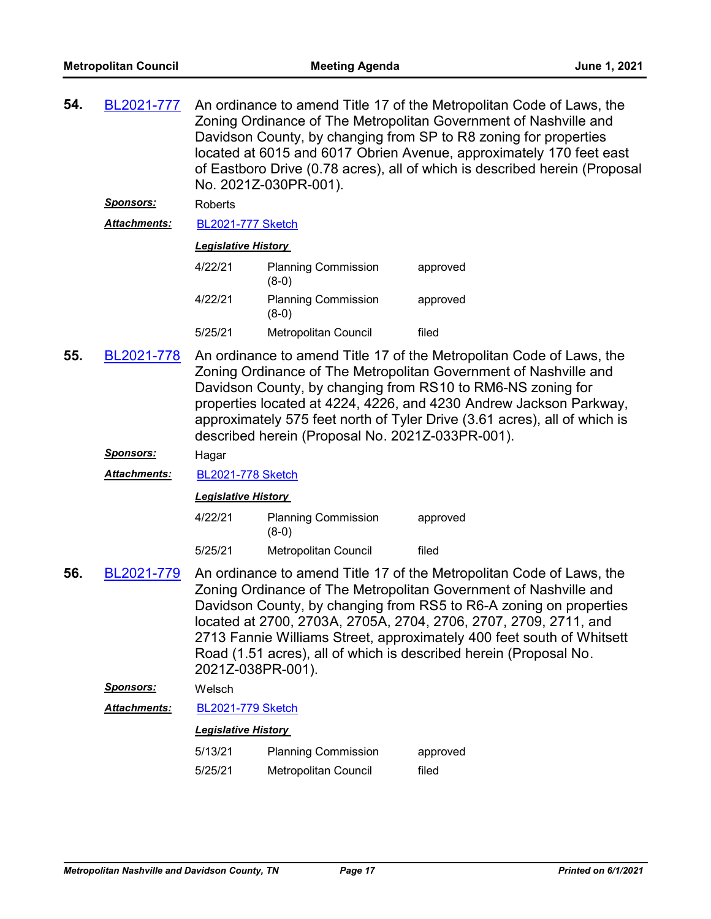| 54. | BL2021-777       | An ordinance to amend Title 17 of the Metropolitan Code of Laws, the<br>Zoning Ordinance of The Metropolitan Government of Nashville and<br>Davidson County, by changing from SP to R8 zoning for properties<br>located at 6015 and 6017 Obrien Avenue, approximately 170 feet east<br>of Eastboro Drive (0.78 acres), all of which is described herein (Proposal<br>No. 2021Z-030PR-001).                                                            |                                                                                                                                                                                                                                                                                                                                                                                                                |          |  |  |
|-----|------------------|-------------------------------------------------------------------------------------------------------------------------------------------------------------------------------------------------------------------------------------------------------------------------------------------------------------------------------------------------------------------------------------------------------------------------------------------------------|----------------------------------------------------------------------------------------------------------------------------------------------------------------------------------------------------------------------------------------------------------------------------------------------------------------------------------------------------------------------------------------------------------------|----------|--|--|
|     | <b>Sponsors:</b> | Roberts                                                                                                                                                                                                                                                                                                                                                                                                                                               |                                                                                                                                                                                                                                                                                                                                                                                                                |          |  |  |
|     | Attachments:     | <b>BL2021-777 Sketch</b>                                                                                                                                                                                                                                                                                                                                                                                                                              |                                                                                                                                                                                                                                                                                                                                                                                                                |          |  |  |
|     |                  | <b>Legislative History</b>                                                                                                                                                                                                                                                                                                                                                                                                                            |                                                                                                                                                                                                                                                                                                                                                                                                                |          |  |  |
|     |                  | 4/22/21                                                                                                                                                                                                                                                                                                                                                                                                                                               | <b>Planning Commission</b><br>$(8-0)$                                                                                                                                                                                                                                                                                                                                                                          | approved |  |  |
|     |                  | 4/22/21                                                                                                                                                                                                                                                                                                                                                                                                                                               | <b>Planning Commission</b><br>$(8-0)$                                                                                                                                                                                                                                                                                                                                                                          | approved |  |  |
|     |                  | 5/25/21                                                                                                                                                                                                                                                                                                                                                                                                                                               | Metropolitan Council                                                                                                                                                                                                                                                                                                                                                                                           | filed    |  |  |
| 55. | BL2021-778       |                                                                                                                                                                                                                                                                                                                                                                                                                                                       | An ordinance to amend Title 17 of the Metropolitan Code of Laws, the<br>Zoning Ordinance of The Metropolitan Government of Nashville and<br>Davidson County, by changing from RS10 to RM6-NS zoning for<br>properties located at 4224, 4226, and 4230 Andrew Jackson Parkway,<br>approximately 575 feet north of Tyler Drive (3.61 acres), all of which is<br>described herein (Proposal No. 2021Z-033PR-001). |          |  |  |
|     | <u>Sponsors:</u> | Hagar                                                                                                                                                                                                                                                                                                                                                                                                                                                 |                                                                                                                                                                                                                                                                                                                                                                                                                |          |  |  |
|     | Attachments:     | <b>BL2021-778 Sketch</b>                                                                                                                                                                                                                                                                                                                                                                                                                              |                                                                                                                                                                                                                                                                                                                                                                                                                |          |  |  |
|     |                  | <b>Legislative History</b>                                                                                                                                                                                                                                                                                                                                                                                                                            |                                                                                                                                                                                                                                                                                                                                                                                                                |          |  |  |
|     |                  | 4/22/21                                                                                                                                                                                                                                                                                                                                                                                                                                               | <b>Planning Commission</b><br>$(8-0)$                                                                                                                                                                                                                                                                                                                                                                          | approved |  |  |
|     |                  | 5/25/21                                                                                                                                                                                                                                                                                                                                                                                                                                               | Metropolitan Council                                                                                                                                                                                                                                                                                                                                                                                           | filed    |  |  |
| 56. | BL2021-779       | An ordinance to amend Title 17 of the Metropolitan Code of Laws, the<br>Zoning Ordinance of The Metropolitan Government of Nashville and<br>Davidson County, by changing from RS5 to R6-A zoning on properties<br>located at 2700, 2703A, 2705A, 2704, 2706, 2707, 2709, 2711, and<br>2713 Fannie Williams Street, approximately 400 feet south of Whitsett<br>Road (1.51 acres), all of which is described herein (Proposal No.<br>2021Z-038PR-001). |                                                                                                                                                                                                                                                                                                                                                                                                                |          |  |  |
|     | <b>Sponsors:</b> | Welsch                                                                                                                                                                                                                                                                                                                                                                                                                                                |                                                                                                                                                                                                                                                                                                                                                                                                                |          |  |  |
|     | Attachments:     | <b>BL2021-779 Sketch</b>                                                                                                                                                                                                                                                                                                                                                                                                                              |                                                                                                                                                                                                                                                                                                                                                                                                                |          |  |  |
|     |                  | <b>Legislative History</b>                                                                                                                                                                                                                                                                                                                                                                                                                            |                                                                                                                                                                                                                                                                                                                                                                                                                |          |  |  |
|     |                  | 5/13/21                                                                                                                                                                                                                                                                                                                                                                                                                                               | <b>Planning Commission</b>                                                                                                                                                                                                                                                                                                                                                                                     | approved |  |  |
|     |                  | 5/25/21                                                                                                                                                                                                                                                                                                                                                                                                                                               | Metropolitan Council                                                                                                                                                                                                                                                                                                                                                                                           | filed    |  |  |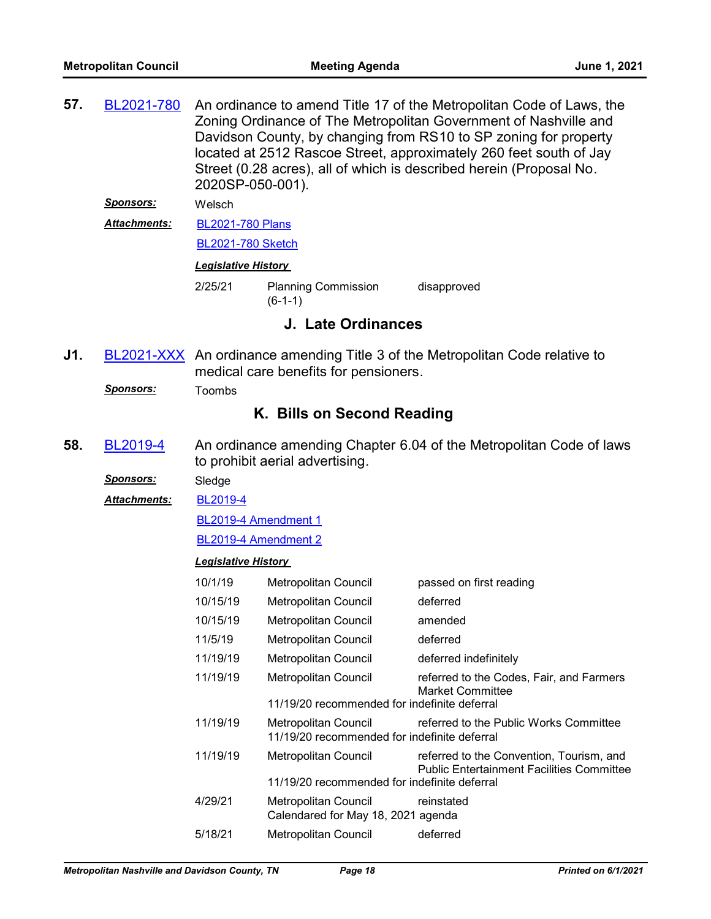| 57. | BL2021-780                 | An ordinance to amend Title 17 of the Metropolitan Code of Laws, the<br>Zoning Ordinance of The Metropolitan Government of Nashville and<br>Davidson County, by changing from RS10 to SP zoning for property<br>located at 2512 Rascoe Street, approximately 260 feet south of Jay<br>Street (0.28 acres), all of which is described herein (Proposal No.<br>2020SP-050-001). |                                                                             |                                                                                              |  |  |
|-----|----------------------------|-------------------------------------------------------------------------------------------------------------------------------------------------------------------------------------------------------------------------------------------------------------------------------------------------------------------------------------------------------------------------------|-----------------------------------------------------------------------------|----------------------------------------------------------------------------------------------|--|--|
|     | <u>Sponsors:</u>           | Welsch                                                                                                                                                                                                                                                                                                                                                                        |                                                                             |                                                                                              |  |  |
|     | Attachments:               | <b>BL2021-780 Plans</b>                                                                                                                                                                                                                                                                                                                                                       |                                                                             |                                                                                              |  |  |
|     |                            |                                                                                                                                                                                                                                                                                                                                                                               | <b>BL2021-780 Sketch</b>                                                    |                                                                                              |  |  |
|     |                            | <b>Legislative History</b>                                                                                                                                                                                                                                                                                                                                                    |                                                                             |                                                                                              |  |  |
|     |                            | 2/25/21                                                                                                                                                                                                                                                                                                                                                                       | <b>Planning Commission</b><br>$(6-1-1)$                                     | disapproved                                                                                  |  |  |
|     |                            |                                                                                                                                                                                                                                                                                                                                                                               | J. Late Ordinances                                                          |                                                                                              |  |  |
| J1. |                            |                                                                                                                                                                                                                                                                                                                                                                               | medical care benefits for pensioners.                                       | <b>BL2021-XXX</b> An ordinance amending Title 3 of the Metropolitan Code relative to         |  |  |
|     | <b>Sponsors:</b>           | Toombs                                                                                                                                                                                                                                                                                                                                                                        |                                                                             |                                                                                              |  |  |
|     | K. Bills on Second Reading |                                                                                                                                                                                                                                                                                                                                                                               |                                                                             |                                                                                              |  |  |
| 58. | BL2019-4                   | An ordinance amending Chapter 6.04 of the Metropolitan Code of laws<br>to prohibit aerial advertising.                                                                                                                                                                                                                                                                        |                                                                             |                                                                                              |  |  |
|     | Sponsors:                  | Sledge                                                                                                                                                                                                                                                                                                                                                                        |                                                                             |                                                                                              |  |  |
|     | Attachments:               | BL2019-4                                                                                                                                                                                                                                                                                                                                                                      |                                                                             |                                                                                              |  |  |
|     |                            | BL2019-4 Amendment 1                                                                                                                                                                                                                                                                                                                                                          |                                                                             |                                                                                              |  |  |
|     |                            | BL2019-4 Amendment 2                                                                                                                                                                                                                                                                                                                                                          |                                                                             |                                                                                              |  |  |
|     |                            | <b>Legislative History</b>                                                                                                                                                                                                                                                                                                                                                    |                                                                             |                                                                                              |  |  |
|     |                            | 10/1/19                                                                                                                                                                                                                                                                                                                                                                       | Metropolitan Council                                                        | passed on first reading                                                                      |  |  |
|     |                            | 10/15/19                                                                                                                                                                                                                                                                                                                                                                      | Metropolitan Council                                                        | deferred                                                                                     |  |  |
|     |                            | 10/15/19                                                                                                                                                                                                                                                                                                                                                                      | Metropolitan Council                                                        | amended                                                                                      |  |  |
|     |                            | 11/5/19                                                                                                                                                                                                                                                                                                                                                                       | Metropolitan Council                                                        | deferred                                                                                     |  |  |
|     |                            | 11/19/19                                                                                                                                                                                                                                                                                                                                                                      | Metropolitan Council                                                        | deferred indefinitely                                                                        |  |  |
|     |                            | 11/19/19                                                                                                                                                                                                                                                                                                                                                                      | Metropolitan Council                                                        | referred to the Codes, Fair, and Farmers<br><b>Market Committee</b>                          |  |  |
|     |                            |                                                                                                                                                                                                                                                                                                                                                                               | 11/19/20 recommended for indefinite deferral                                |                                                                                              |  |  |
|     |                            | 11/19/19                                                                                                                                                                                                                                                                                                                                                                      | <b>Metropolitan Council</b><br>11/19/20 recommended for indefinite deferral | referred to the Public Works Committee                                                       |  |  |
|     |                            | 11/19/19                                                                                                                                                                                                                                                                                                                                                                      | Metropolitan Council                                                        | referred to the Convention, Tourism, and<br><b>Public Entertainment Facilities Committee</b> |  |  |
|     |                            |                                                                                                                                                                                                                                                                                                                                                                               | 11/19/20 recommended for indefinite deferral                                |                                                                                              |  |  |
|     |                            | 4/29/21                                                                                                                                                                                                                                                                                                                                                                       | Metropolitan Council<br>Calendared for May 18, 2021 agenda                  | reinstated                                                                                   |  |  |
|     |                            |                                                                                                                                                                                                                                                                                                                                                                               | Metropolitan Council                                                        | deferred                                                                                     |  |  |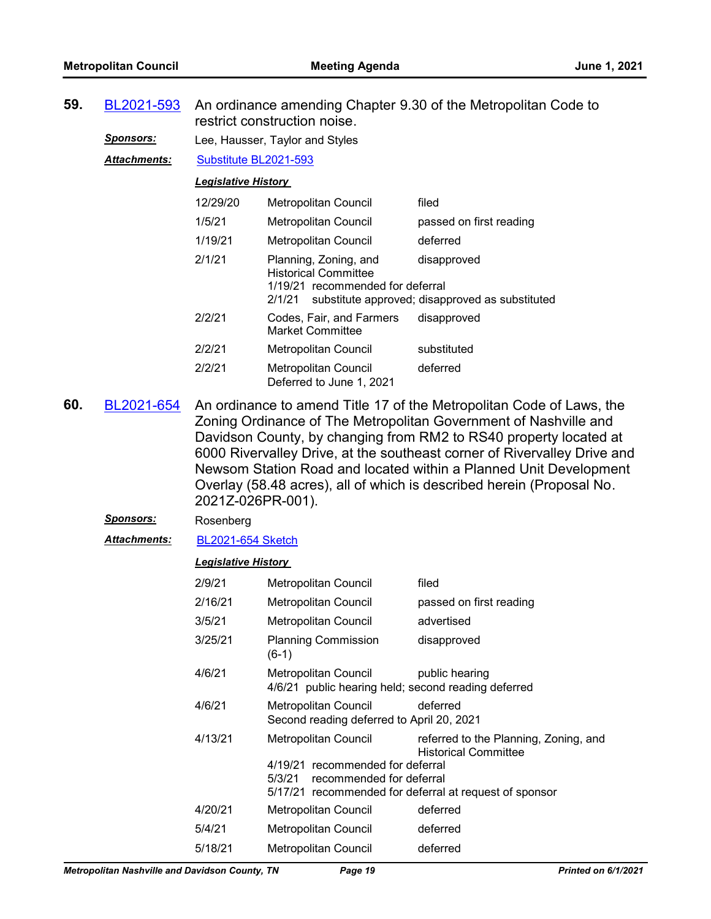| 59. | BL2021-593          | An ordinance amending Chapter 9.30 of the Metropolitan Code to<br>restrict construction noise.                                                                                                                                                                                                                                                                                                                                                               |                                                                                                    |                                                                                                                                |  |  |
|-----|---------------------|--------------------------------------------------------------------------------------------------------------------------------------------------------------------------------------------------------------------------------------------------------------------------------------------------------------------------------------------------------------------------------------------------------------------------------------------------------------|----------------------------------------------------------------------------------------------------|--------------------------------------------------------------------------------------------------------------------------------|--|--|
|     | <u>Sponsors:</u>    |                                                                                                                                                                                                                                                                                                                                                                                                                                                              | Lee, Hausser, Taylor and Styles                                                                    |                                                                                                                                |  |  |
|     | <b>Attachments:</b> | Substitute BL2021-593                                                                                                                                                                                                                                                                                                                                                                                                                                        |                                                                                                    |                                                                                                                                |  |  |
|     |                     | <b>Legislative History</b>                                                                                                                                                                                                                                                                                                                                                                                                                                   |                                                                                                    |                                                                                                                                |  |  |
|     |                     | 12/29/20                                                                                                                                                                                                                                                                                                                                                                                                                                                     | Metropolitan Council                                                                               | filed                                                                                                                          |  |  |
|     |                     | 1/5/21                                                                                                                                                                                                                                                                                                                                                                                                                                                       | Metropolitan Council                                                                               | passed on first reading                                                                                                        |  |  |
|     |                     | 1/19/21                                                                                                                                                                                                                                                                                                                                                                                                                                                      | Metropolitan Council                                                                               | deferred                                                                                                                       |  |  |
|     |                     | 2/1/21                                                                                                                                                                                                                                                                                                                                                                                                                                                       | Planning, Zoning, and<br><b>Historical Committee</b><br>1/19/21 recommended for deferral<br>2/1/21 | disapproved<br>substitute approved; disapproved as substituted                                                                 |  |  |
|     |                     | 2/2/21                                                                                                                                                                                                                                                                                                                                                                                                                                                       | Codes, Fair, and Farmers<br><b>Market Committee</b>                                                | disapproved                                                                                                                    |  |  |
|     |                     | 2/2/21                                                                                                                                                                                                                                                                                                                                                                                                                                                       | Metropolitan Council                                                                               | substituted                                                                                                                    |  |  |
|     |                     | 2/2/21                                                                                                                                                                                                                                                                                                                                                                                                                                                       | Metropolitan Council<br>Deferred to June 1, 2021                                                   | deferred                                                                                                                       |  |  |
| 60. | BL2021-654          | An ordinance to amend Title 17 of the Metropolitan Code of Laws, the<br>Zoning Ordinance of The Metropolitan Government of Nashville and<br>Davidson County, by changing from RM2 to RS40 property located at<br>6000 Rivervalley Drive, at the southeast corner of Rivervalley Drive and<br>Newsom Station Road and located within a Planned Unit Development<br>Overlay (58.48 acres), all of which is described herein (Proposal No.<br>2021Z-026PR-001). |                                                                                                    |                                                                                                                                |  |  |
|     | <b>Sponsors:</b>    | Rosenberg                                                                                                                                                                                                                                                                                                                                                                                                                                                    |                                                                                                    |                                                                                                                                |  |  |
|     | Attachments:        | <b>BL2021-654 Sketch</b>                                                                                                                                                                                                                                                                                                                                                                                                                                     |                                                                                                    |                                                                                                                                |  |  |
|     |                     | <b>Legislative History</b>                                                                                                                                                                                                                                                                                                                                                                                                                                   |                                                                                                    |                                                                                                                                |  |  |
|     |                     | 2/9/21                                                                                                                                                                                                                                                                                                                                                                                                                                                       | Metropolitan Council                                                                               | filed                                                                                                                          |  |  |
|     |                     | 2/16/21                                                                                                                                                                                                                                                                                                                                                                                                                                                      | <b>Metropolitan Council</b>                                                                        | passed on first reading                                                                                                        |  |  |
|     |                     | 3/5/21                                                                                                                                                                                                                                                                                                                                                                                                                                                       | Metropolitan Council                                                                               | advertised                                                                                                                     |  |  |
|     |                     | 3/25/21                                                                                                                                                                                                                                                                                                                                                                                                                                                      | <b>Planning Commission</b><br>$(6-1)$                                                              | disapproved                                                                                                                    |  |  |
|     |                     | 4/6/21                                                                                                                                                                                                                                                                                                                                                                                                                                                       | Metropolitan Council<br>4/6/21 public hearing held; second reading deferred                        | public hearing                                                                                                                 |  |  |
|     |                     | 4/6/21                                                                                                                                                                                                                                                                                                                                                                                                                                                       | Metropolitan Council<br>Second reading deferred to April 20, 2021                                  | deferred                                                                                                                       |  |  |
|     |                     | 4/13/21                                                                                                                                                                                                                                                                                                                                                                                                                                                      | Metropolitan Council<br>4/19/21 recommended for deferral<br>5/3/21<br>recommended for deferral     | referred to the Planning, Zoning, and<br><b>Historical Committee</b><br>5/17/21 recommended for deferral at request of sponsor |  |  |
|     |                     | 4/20/21                                                                                                                                                                                                                                                                                                                                                                                                                                                      | Metropolitan Council                                                                               | deferred                                                                                                                       |  |  |
|     |                     | 5/4/21                                                                                                                                                                                                                                                                                                                                                                                                                                                       | Metropolitan Council                                                                               | deferred                                                                                                                       |  |  |
|     |                     | 5/18/21                                                                                                                                                                                                                                                                                                                                                                                                                                                      | Metropolitan Council                                                                               | deferred                                                                                                                       |  |  |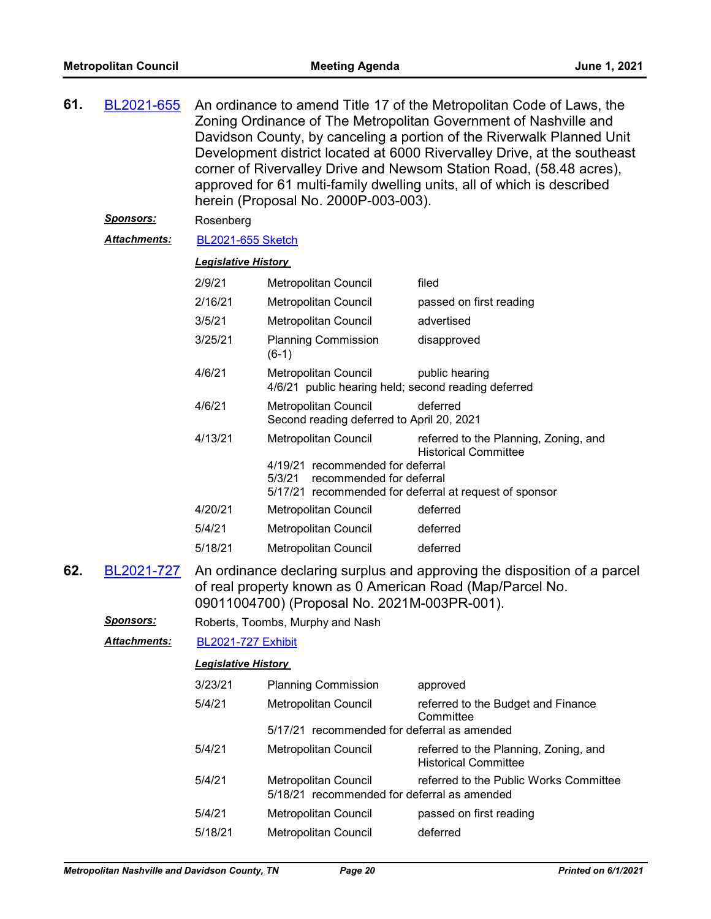| 61. | An ordinance to amend Title 17 of the Metropolitan Code of Laws, the<br>BL2021-655<br>Zoning Ordinance of The Metropolitan Government of Nashville and<br>Davidson County, by canceling a portion of the Riverwalk Planned Unit<br>Development district located at 6000 Rivervalley Drive, at the southeast<br>corner of Rivervalley Drive and Newsom Station Road, (58.48 acres),<br>approved for 61 multi-family dwelling units, all of which is described<br>herein (Proposal No. 2000P-003-003). |                                                                                                                                                                                       |                                                                                                                                  |                                                                      |  |  |
|-----|------------------------------------------------------------------------------------------------------------------------------------------------------------------------------------------------------------------------------------------------------------------------------------------------------------------------------------------------------------------------------------------------------------------------------------------------------------------------------------------------------|---------------------------------------------------------------------------------------------------------------------------------------------------------------------------------------|----------------------------------------------------------------------------------------------------------------------------------|----------------------------------------------------------------------|--|--|
|     | <u>Sponsors:</u>                                                                                                                                                                                                                                                                                                                                                                                                                                                                                     | Rosenberg                                                                                                                                                                             |                                                                                                                                  |                                                                      |  |  |
|     | <u> Attachments:</u>                                                                                                                                                                                                                                                                                                                                                                                                                                                                                 | <b>BL2021-655 Sketch</b>                                                                                                                                                              |                                                                                                                                  |                                                                      |  |  |
|     |                                                                                                                                                                                                                                                                                                                                                                                                                                                                                                      | <b>Legislative History</b>                                                                                                                                                            |                                                                                                                                  |                                                                      |  |  |
|     |                                                                                                                                                                                                                                                                                                                                                                                                                                                                                                      | 2/9/21                                                                                                                                                                                | Metropolitan Council                                                                                                             | filed                                                                |  |  |
|     |                                                                                                                                                                                                                                                                                                                                                                                                                                                                                                      | 2/16/21                                                                                                                                                                               | Metropolitan Council                                                                                                             | passed on first reading                                              |  |  |
|     |                                                                                                                                                                                                                                                                                                                                                                                                                                                                                                      | 3/5/21                                                                                                                                                                                | Metropolitan Council                                                                                                             | advertised                                                           |  |  |
|     |                                                                                                                                                                                                                                                                                                                                                                                                                                                                                                      | 3/25/21                                                                                                                                                                               | <b>Planning Commission</b><br>$(6-1)$                                                                                            | disapproved                                                          |  |  |
|     |                                                                                                                                                                                                                                                                                                                                                                                                                                                                                                      | 4/6/21                                                                                                                                                                                | <b>Metropolitan Council</b><br>4/6/21 public hearing held; second reading deferred                                               | public hearing                                                       |  |  |
|     |                                                                                                                                                                                                                                                                                                                                                                                                                                                                                                      | 4/6/21                                                                                                                                                                                | Metropolitan Council<br>Second reading deferred to April 20, 2021                                                                | deferred                                                             |  |  |
|     |                                                                                                                                                                                                                                                                                                                                                                                                                                                                                                      | 4/13/21                                                                                                                                                                               | Metropolitan Council                                                                                                             | referred to the Planning, Zoning, and<br><b>Historical Committee</b> |  |  |
|     |                                                                                                                                                                                                                                                                                                                                                                                                                                                                                                      |                                                                                                                                                                                       | 4/19/21 recommended for deferral<br>5/3/21<br>recommended for deferral<br>5/17/21 recommended for deferral at request of sponsor |                                                                      |  |  |
|     |                                                                                                                                                                                                                                                                                                                                                                                                                                                                                                      | 4/20/21                                                                                                                                                                               | Metropolitan Council                                                                                                             | deferred                                                             |  |  |
|     |                                                                                                                                                                                                                                                                                                                                                                                                                                                                                                      | 5/4/21                                                                                                                                                                                | Metropolitan Council                                                                                                             | deferred                                                             |  |  |
|     |                                                                                                                                                                                                                                                                                                                                                                                                                                                                                                      | 5/18/21                                                                                                                                                                               | Metropolitan Council                                                                                                             | deferred                                                             |  |  |
| 62. | BL2021-727                                                                                                                                                                                                                                                                                                                                                                                                                                                                                           | An ordinance declaring surplus and approving the disposition of a parcel<br>of real property known as 0 American Road (Map/Parcel No.<br>09011004700) (Proposal No. 2021M-003PR-001). |                                                                                                                                  |                                                                      |  |  |
|     | <b>Sponsors:</b>                                                                                                                                                                                                                                                                                                                                                                                                                                                                                     |                                                                                                                                                                                       | Roberts, Toombs, Murphy and Nash                                                                                                 |                                                                      |  |  |
|     | Attachments:                                                                                                                                                                                                                                                                                                                                                                                                                                                                                         | <b>BL2021-727 Exhibit</b>                                                                                                                                                             |                                                                                                                                  |                                                                      |  |  |
|     |                                                                                                                                                                                                                                                                                                                                                                                                                                                                                                      | <b>Legislative History</b>                                                                                                                                                            |                                                                                                                                  |                                                                      |  |  |
|     |                                                                                                                                                                                                                                                                                                                                                                                                                                                                                                      | 3/23/21                                                                                                                                                                               | <b>Planning Commission</b>                                                                                                       | approved                                                             |  |  |
|     |                                                                                                                                                                                                                                                                                                                                                                                                                                                                                                      | 5/4/21                                                                                                                                                                                | Metropolitan Council                                                                                                             | referred to the Budget and Finance                                   |  |  |
|     |                                                                                                                                                                                                                                                                                                                                                                                                                                                                                                      |                                                                                                                                                                                       | 5/17/21 recommended for deferral as amended                                                                                      | Committee                                                            |  |  |
|     |                                                                                                                                                                                                                                                                                                                                                                                                                                                                                                      | 5/4/21                                                                                                                                                                                | Metropolitan Council                                                                                                             | referred to the Planning, Zoning, and<br><b>Historical Committee</b> |  |  |
|     |                                                                                                                                                                                                                                                                                                                                                                                                                                                                                                      | 5/4/21                                                                                                                                                                                | Metropolitan Council<br>5/18/21 recommended for deferral as amended                                                              | referred to the Public Works Committee                               |  |  |
|     |                                                                                                                                                                                                                                                                                                                                                                                                                                                                                                      | 5/4/21                                                                                                                                                                                | Metropolitan Council                                                                                                             | passed on first reading                                              |  |  |
|     |                                                                                                                                                                                                                                                                                                                                                                                                                                                                                                      | 5/18/21                                                                                                                                                                               | Metropolitan Council                                                                                                             | deferred                                                             |  |  |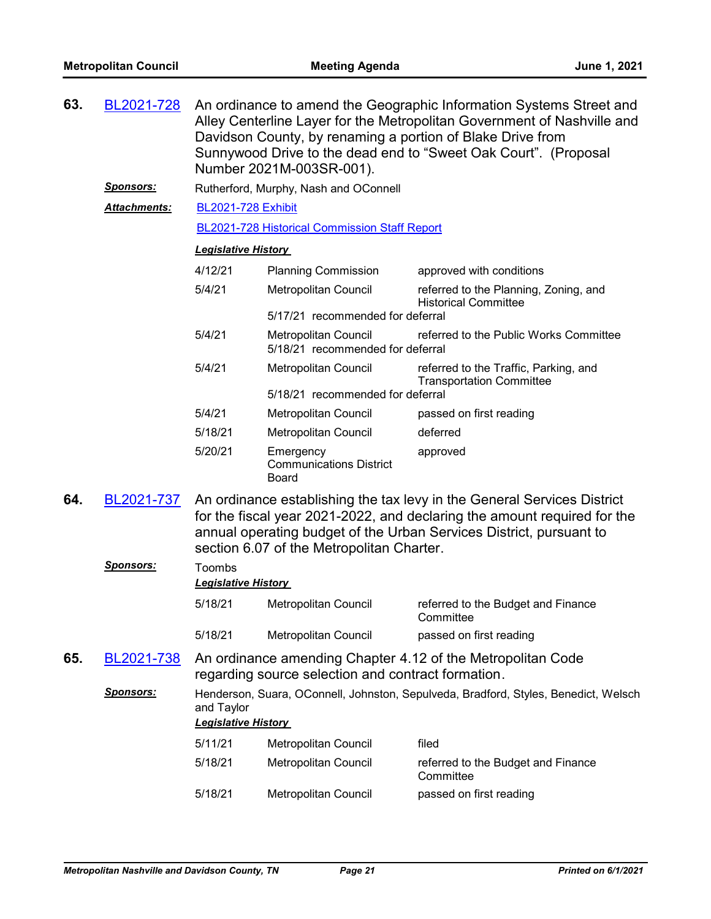| 63. | BL2021-728       | An ordinance to amend the Geographic Information Systems Street and<br>Alley Centerline Layer for the Metropolitan Government of Nashville and<br>Davidson County, by renaming a portion of Blake Drive from<br>Sunnywood Drive to the dead end to "Sweet Oak Court". (Proposal<br>Number 2021M-003SR-001). |                                                                                                                   |                                                                          |  |  |  |
|-----|------------------|-------------------------------------------------------------------------------------------------------------------------------------------------------------------------------------------------------------------------------------------------------------------------------------------------------------|-------------------------------------------------------------------------------------------------------------------|--------------------------------------------------------------------------|--|--|--|
|     | <u>Sponsors:</u> |                                                                                                                                                                                                                                                                                                             | Rutherford, Murphy, Nash and OConnell                                                                             |                                                                          |  |  |  |
|     | Attachments:     |                                                                                                                                                                                                                                                                                                             | <b>BL2021-728 Exhibit</b>                                                                                         |                                                                          |  |  |  |
|     |                  |                                                                                                                                                                                                                                                                                                             | <b>BL2021-728 Historical Commission Staff Report</b>                                                              |                                                                          |  |  |  |
|     |                  | <b>Legislative History</b>                                                                                                                                                                                                                                                                                  |                                                                                                                   |                                                                          |  |  |  |
|     |                  | 4/12/21                                                                                                                                                                                                                                                                                                     |                                                                                                                   |                                                                          |  |  |  |
|     |                  |                                                                                                                                                                                                                                                                                                             | <b>Planning Commission</b>                                                                                        | approved with conditions                                                 |  |  |  |
|     |                  | 5/4/21                                                                                                                                                                                                                                                                                                      | Metropolitan Council                                                                                              | referred to the Planning, Zoning, and<br><b>Historical Committee</b>     |  |  |  |
|     |                  |                                                                                                                                                                                                                                                                                                             | 5/17/21 recommended for deferral                                                                                  |                                                                          |  |  |  |
|     |                  | 5/4/21                                                                                                                                                                                                                                                                                                      | <b>Metropolitan Council</b><br>5/18/21 recommended for deferral                                                   | referred to the Public Works Committee                                   |  |  |  |
|     |                  | 5/4/21                                                                                                                                                                                                                                                                                                      | Metropolitan Council                                                                                              | referred to the Traffic, Parking, and<br><b>Transportation Committee</b> |  |  |  |
|     |                  |                                                                                                                                                                                                                                                                                                             | 5/18/21 recommended for deferral                                                                                  |                                                                          |  |  |  |
|     |                  | 5/4/21                                                                                                                                                                                                                                                                                                      | Metropolitan Council                                                                                              | passed on first reading                                                  |  |  |  |
|     |                  | 5/18/21                                                                                                                                                                                                                                                                                                     | Metropolitan Council                                                                                              | deferred                                                                 |  |  |  |
|     |                  | 5/20/21                                                                                                                                                                                                                                                                                                     | Emergency<br><b>Communications District</b><br>Board                                                              | approved                                                                 |  |  |  |
| 64. | BL2021-737       | An ordinance establishing the tax levy in the General Services District<br>for the fiscal year 2021-2022, and declaring the amount required for the<br>annual operating budget of the Urban Services District, pursuant to<br>section 6.07 of the Metropolitan Charter.                                     |                                                                                                                   |                                                                          |  |  |  |
|     | <u>Sponsors:</u> | Toombs<br><b>Legislative History</b>                                                                                                                                                                                                                                                                        |                                                                                                                   |                                                                          |  |  |  |
|     |                  | 5/18/21                                                                                                                                                                                                                                                                                                     | <b>Metropolitan Council</b>                                                                                       | referred to the Budget and Finance<br>Committee                          |  |  |  |
|     |                  | 5/18/21                                                                                                                                                                                                                                                                                                     | Metropolitan Council                                                                                              | passed on first reading                                                  |  |  |  |
| 65. | BL2021-738       |                                                                                                                                                                                                                                                                                                             | An ordinance amending Chapter 4.12 of the Metropolitan Code<br>regarding source selection and contract formation. |                                                                          |  |  |  |
|     | Sponsors:        | Henderson, Suara, OConnell, Johnston, Sepulveda, Bradford, Styles, Benedict, Welsch<br>and Taylor<br><b>Legislative History</b>                                                                                                                                                                             |                                                                                                                   |                                                                          |  |  |  |
|     |                  | 5/11/21                                                                                                                                                                                                                                                                                                     | Metropolitan Council                                                                                              | filed                                                                    |  |  |  |
|     |                  | 5/18/21                                                                                                                                                                                                                                                                                                     | <b>Metropolitan Council</b>                                                                                       | referred to the Budget and Finance<br>Committee                          |  |  |  |
|     |                  | 5/18/21                                                                                                                                                                                                                                                                                                     | Metropolitan Council                                                                                              | passed on first reading                                                  |  |  |  |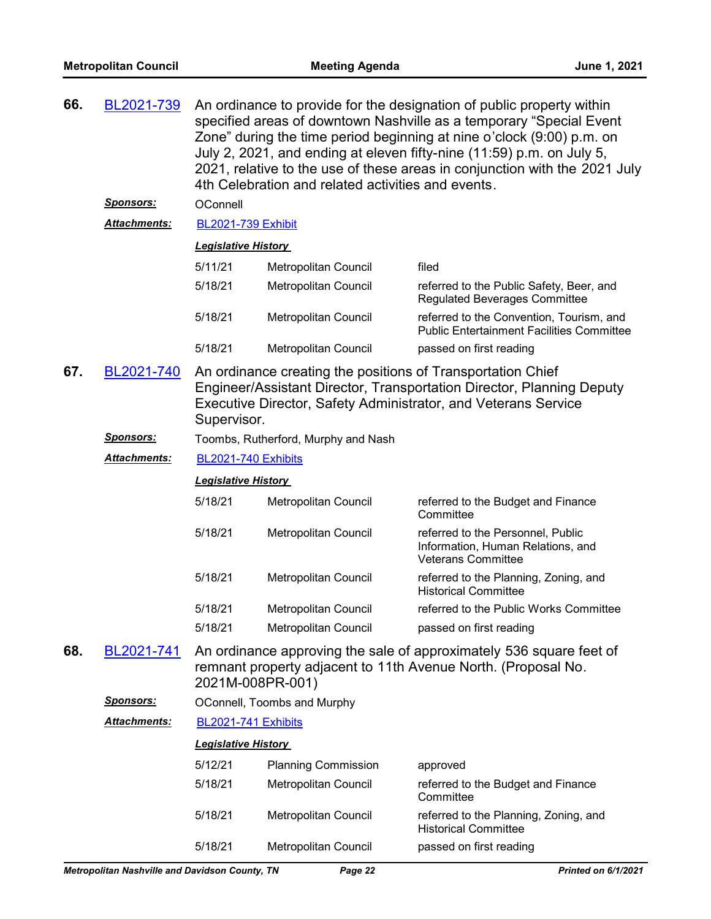| 66.                                                     | BL2021-739          | An ordinance to provide for the designation of public property within<br>specified areas of downtown Nashville as a temporary "Special Event<br>Zone" during the time period beginning at nine o'clock (9:00) p.m. on<br>July 2, 2021, and ending at eleven fifty-nine (11:59) p.m. on July 5,<br>2021, relative to the use of these areas in conjunction with the 2021 July<br>4th Celebration and related activities and events. |                                                             |                                                                                                                                         |  |  |
|---------------------------------------------------------|---------------------|------------------------------------------------------------------------------------------------------------------------------------------------------------------------------------------------------------------------------------------------------------------------------------------------------------------------------------------------------------------------------------------------------------------------------------|-------------------------------------------------------------|-----------------------------------------------------------------------------------------------------------------------------------------|--|--|
|                                                         | <u>Sponsors:</u>    | OConnell                                                                                                                                                                                                                                                                                                                                                                                                                           |                                                             |                                                                                                                                         |  |  |
|                                                         | <b>Attachments:</b> | <b>BL2021-739 Exhibit</b>                                                                                                                                                                                                                                                                                                                                                                                                          |                                                             |                                                                                                                                         |  |  |
|                                                         |                     | <b>Legislative History</b>                                                                                                                                                                                                                                                                                                                                                                                                         |                                                             |                                                                                                                                         |  |  |
|                                                         |                     | 5/11/21                                                                                                                                                                                                                                                                                                                                                                                                                            | Metropolitan Council                                        | filed                                                                                                                                   |  |  |
|                                                         |                     | 5/18/21                                                                                                                                                                                                                                                                                                                                                                                                                            | Metropolitan Council                                        | referred to the Public Safety, Beer, and<br><b>Regulated Beverages Committee</b>                                                        |  |  |
|                                                         |                     | 5/18/21                                                                                                                                                                                                                                                                                                                                                                                                                            | Metropolitan Council                                        | referred to the Convention, Tourism, and<br><b>Public Entertainment Facilities Committee</b>                                            |  |  |
|                                                         |                     | 5/18/21                                                                                                                                                                                                                                                                                                                                                                                                                            | Metropolitan Council                                        | passed on first reading                                                                                                                 |  |  |
| 67.<br>BL2021-740                                       |                     | Supervisor.                                                                                                                                                                                                                                                                                                                                                                                                                        | An ordinance creating the positions of Transportation Chief | Engineer/Assistant Director, Transportation Director, Planning Deputy<br>Executive Director, Safety Administrator, and Veterans Service |  |  |
| <u>Sponsors:</u><br>Toombs, Rutherford, Murphy and Nash |                     |                                                                                                                                                                                                                                                                                                                                                                                                                                    |                                                             |                                                                                                                                         |  |  |
|                                                         | Attachments:        | BL2021-740 Exhibits                                                                                                                                                                                                                                                                                                                                                                                                                |                                                             |                                                                                                                                         |  |  |
|                                                         |                     | <b>Legislative History</b>                                                                                                                                                                                                                                                                                                                                                                                                         |                                                             |                                                                                                                                         |  |  |
|                                                         |                     | 5/18/21                                                                                                                                                                                                                                                                                                                                                                                                                            | Metropolitan Council                                        | referred to the Budget and Finance<br>Committee                                                                                         |  |  |
|                                                         |                     | 5/18/21                                                                                                                                                                                                                                                                                                                                                                                                                            | Metropolitan Council                                        | referred to the Personnel, Public<br>Information, Human Relations, and<br><b>Veterans Committee</b>                                     |  |  |
|                                                         |                     | 5/18/21                                                                                                                                                                                                                                                                                                                                                                                                                            | Metropolitan Council                                        | referred to the Planning, Zoning, and<br><b>Historical Committee</b>                                                                    |  |  |
|                                                         |                     | 5/18/21                                                                                                                                                                                                                                                                                                                                                                                                                            | Metropolitan Council                                        | referred to the Public Works Committee                                                                                                  |  |  |
|                                                         |                     | 5/18/21                                                                                                                                                                                                                                                                                                                                                                                                                            | Metropolitan Council                                        | passed on first reading                                                                                                                 |  |  |
| 68.                                                     | BL2021-741          | 2021M-008PR-001)                                                                                                                                                                                                                                                                                                                                                                                                                   |                                                             | An ordinance approving the sale of approximately 536 square feet of<br>remnant property adjacent to 11th Avenue North. (Proposal No.    |  |  |
|                                                         | Sponsors:           |                                                                                                                                                                                                                                                                                                                                                                                                                                    | OConnell, Toombs and Murphy                                 |                                                                                                                                         |  |  |
|                                                         | <b>Attachments:</b> | BL2021-741 Exhibits                                                                                                                                                                                                                                                                                                                                                                                                                |                                                             |                                                                                                                                         |  |  |
|                                                         |                     | <b>Legislative History</b>                                                                                                                                                                                                                                                                                                                                                                                                         |                                                             |                                                                                                                                         |  |  |
|                                                         |                     | 5/12/21                                                                                                                                                                                                                                                                                                                                                                                                                            | <b>Planning Commission</b>                                  | approved                                                                                                                                |  |  |
|                                                         |                     | 5/18/21                                                                                                                                                                                                                                                                                                                                                                                                                            | Metropolitan Council                                        | referred to the Budget and Finance<br>Committee                                                                                         |  |  |
|                                                         |                     | 5/18/21                                                                                                                                                                                                                                                                                                                                                                                                                            | Metropolitan Council                                        | referred to the Planning, Zoning, and<br><b>Historical Committee</b>                                                                    |  |  |
|                                                         |                     | 5/18/21                                                                                                                                                                                                                                                                                                                                                                                                                            | Metropolitan Council                                        | passed on first reading                                                                                                                 |  |  |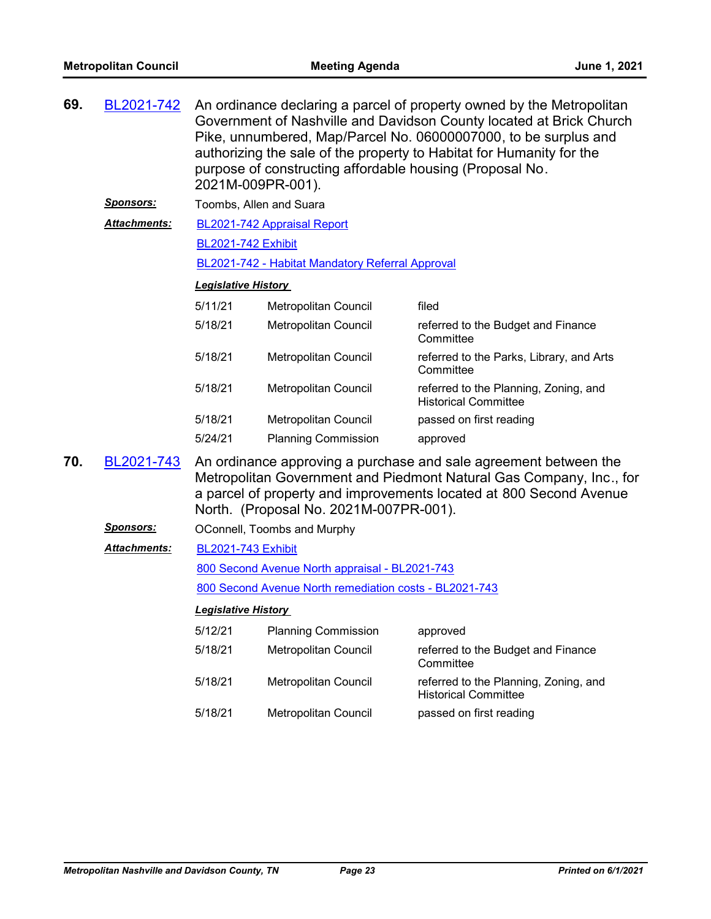| 69.               | BL2021-742          | An ordinance declaring a parcel of property owned by the Metropolitan<br>Government of Nashville and Davidson County located at Brick Church<br>Pike, unnumbered, Map/Parcel No. 06000007000, to be surplus and<br>authorizing the sale of the property to Habitat for Humanity for the<br>purpose of constructing affordable housing (Proposal No.<br>2021M-009PR-001). |                                                  |                                                                                                                                                                                                               |  |  |  |  |
|-------------------|---------------------|--------------------------------------------------------------------------------------------------------------------------------------------------------------------------------------------------------------------------------------------------------------------------------------------------------------------------------------------------------------------------|--------------------------------------------------|---------------------------------------------------------------------------------------------------------------------------------------------------------------------------------------------------------------|--|--|--|--|
|                   | <u>Sponsors:</u>    |                                                                                                                                                                                                                                                                                                                                                                          | Toombs, Allen and Suara                          |                                                                                                                                                                                                               |  |  |  |  |
|                   | <b>Attachments:</b> |                                                                                                                                                                                                                                                                                                                                                                          | BL2021-742 Appraisal Report                      |                                                                                                                                                                                                               |  |  |  |  |
|                   |                     | <b>BL2021-742 Exhibit</b>                                                                                                                                                                                                                                                                                                                                                |                                                  |                                                                                                                                                                                                               |  |  |  |  |
|                   |                     |                                                                                                                                                                                                                                                                                                                                                                          | BL2021-742 - Habitat Mandatory Referral Approval |                                                                                                                                                                                                               |  |  |  |  |
|                   |                     | <b>Legislative History</b>                                                                                                                                                                                                                                                                                                                                               |                                                  |                                                                                                                                                                                                               |  |  |  |  |
|                   |                     | 5/11/21                                                                                                                                                                                                                                                                                                                                                                  | Metropolitan Council                             | filed                                                                                                                                                                                                         |  |  |  |  |
|                   |                     | 5/18/21                                                                                                                                                                                                                                                                                                                                                                  | Metropolitan Council                             | referred to the Budget and Finance<br>Committee                                                                                                                                                               |  |  |  |  |
|                   |                     | 5/18/21                                                                                                                                                                                                                                                                                                                                                                  | Metropolitan Council                             | referred to the Parks, Library, and Arts<br>Committee                                                                                                                                                         |  |  |  |  |
|                   |                     | 5/18/21                                                                                                                                                                                                                                                                                                                                                                  | Metropolitan Council                             | referred to the Planning, Zoning, and<br><b>Historical Committee</b>                                                                                                                                          |  |  |  |  |
|                   |                     | 5/18/21                                                                                                                                                                                                                                                                                                                                                                  | Metropolitan Council                             | passed on first reading                                                                                                                                                                                       |  |  |  |  |
|                   |                     | 5/24/21                                                                                                                                                                                                                                                                                                                                                                  | <b>Planning Commission</b>                       | approved                                                                                                                                                                                                      |  |  |  |  |
| 70.<br>BL2021-743 |                     |                                                                                                                                                                                                                                                                                                                                                                          | North. (Proposal No. 2021M-007PR-001).           | An ordinance approving a purchase and sale agreement between the<br>Metropolitan Government and Piedmont Natural Gas Company, Inc., for<br>a parcel of property and improvements located at 800 Second Avenue |  |  |  |  |
|                   | <u>Sponsors:</u>    |                                                                                                                                                                                                                                                                                                                                                                          | OConnell, Toombs and Murphy                      |                                                                                                                                                                                                               |  |  |  |  |
|                   | Attachments:        | <b>BL2021-743 Exhibit</b>                                                                                                                                                                                                                                                                                                                                                |                                                  |                                                                                                                                                                                                               |  |  |  |  |
|                   |                     |                                                                                                                                                                                                                                                                                                                                                                          | 800 Second Avenue North appraisal - BL2021-743   |                                                                                                                                                                                                               |  |  |  |  |
|                   |                     | 800 Second Avenue North remediation costs - BL2021-743                                                                                                                                                                                                                                                                                                                   |                                                  |                                                                                                                                                                                                               |  |  |  |  |
|                   |                     | <b>Legislative History</b>                                                                                                                                                                                                                                                                                                                                               |                                                  |                                                                                                                                                                                                               |  |  |  |  |
|                   |                     | 5/12/21                                                                                                                                                                                                                                                                                                                                                                  | <b>Planning Commission</b>                       | approved                                                                                                                                                                                                      |  |  |  |  |
|                   |                     | 5/18/21                                                                                                                                                                                                                                                                                                                                                                  | Metropolitan Council                             | referred to the Budget and Finance<br>Committee                                                                                                                                                               |  |  |  |  |
|                   |                     | 5/18/21                                                                                                                                                                                                                                                                                                                                                                  | Metropolitan Council                             | referred to the Planning, Zoning, and<br><b>Historical Committee</b>                                                                                                                                          |  |  |  |  |
|                   |                     | 5/18/21                                                                                                                                                                                                                                                                                                                                                                  | Metropolitan Council                             | passed on first reading                                                                                                                                                                                       |  |  |  |  |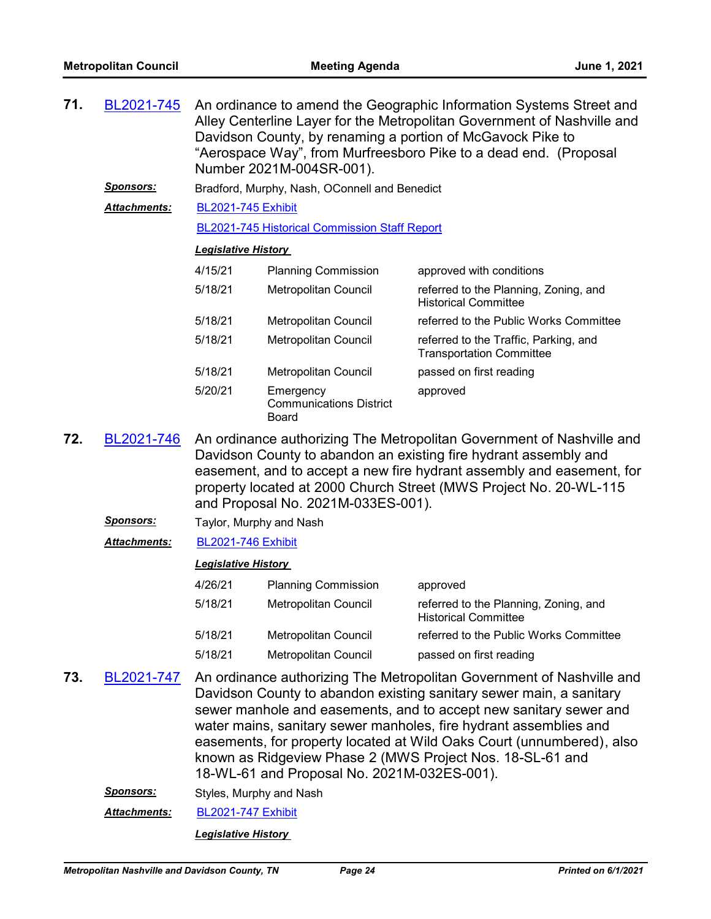| 71. | BL2021-745<br><u>Sponsors:</u> | An ordinance to amend the Geographic Information Systems Street and<br>Alley Centerline Layer for the Metropolitan Government of Nashville and<br>Davidson County, by renaming a portion of McGavock Pike to<br>"Aerospace Way", from Murfreesboro Pike to a dead end. (Proposal<br>Number 2021M-004SR-001).<br>Bradford, Murphy, Nash, OConnell and Benedict |                                                             |                                                                                                                                                                                                                                                                                                                                                                                                                              |  |  |
|-----|--------------------------------|---------------------------------------------------------------------------------------------------------------------------------------------------------------------------------------------------------------------------------------------------------------------------------------------------------------------------------------------------------------|-------------------------------------------------------------|------------------------------------------------------------------------------------------------------------------------------------------------------------------------------------------------------------------------------------------------------------------------------------------------------------------------------------------------------------------------------------------------------------------------------|--|--|
|     | Attachments:                   | <b>BL2021-745 Exhibit</b>                                                                                                                                                                                                                                                                                                                                     |                                                             |                                                                                                                                                                                                                                                                                                                                                                                                                              |  |  |
|     |                                |                                                                                                                                                                                                                                                                                                                                                               | <b>BL2021-745 Historical Commission Staff Report</b>        |                                                                                                                                                                                                                                                                                                                                                                                                                              |  |  |
|     |                                | <b>Legislative History</b>                                                                                                                                                                                                                                                                                                                                    |                                                             |                                                                                                                                                                                                                                                                                                                                                                                                                              |  |  |
|     |                                | 4/15/21                                                                                                                                                                                                                                                                                                                                                       | <b>Planning Commission</b>                                  | approved with conditions                                                                                                                                                                                                                                                                                                                                                                                                     |  |  |
|     |                                | 5/18/21                                                                                                                                                                                                                                                                                                                                                       | Metropolitan Council                                        | referred to the Planning, Zoning, and<br><b>Historical Committee</b>                                                                                                                                                                                                                                                                                                                                                         |  |  |
|     |                                | 5/18/21                                                                                                                                                                                                                                                                                                                                                       | Metropolitan Council                                        | referred to the Public Works Committee                                                                                                                                                                                                                                                                                                                                                                                       |  |  |
|     |                                | 5/18/21                                                                                                                                                                                                                                                                                                                                                       | Metropolitan Council                                        | referred to the Traffic, Parking, and<br><b>Transportation Committee</b>                                                                                                                                                                                                                                                                                                                                                     |  |  |
|     |                                | 5/18/21                                                                                                                                                                                                                                                                                                                                                       | Metropolitan Council                                        | passed on first reading                                                                                                                                                                                                                                                                                                                                                                                                      |  |  |
|     |                                | 5/20/21                                                                                                                                                                                                                                                                                                                                                       | Emergency<br><b>Communications District</b><br><b>Board</b> | approved                                                                                                                                                                                                                                                                                                                                                                                                                     |  |  |
| 72. | BL2021-746                     | An ordinance authorizing The Metropolitan Government of Nashville and<br>Davidson County to abandon an existing fire hydrant assembly and<br>easement, and to accept a new fire hydrant assembly and easement, for<br>property located at 2000 Church Street (MWS Project No. 20-WL-115<br>and Proposal No. 2021M-033ES-001).                                 |                                                             |                                                                                                                                                                                                                                                                                                                                                                                                                              |  |  |
|     | <u> Sponsors:</u>              | Taylor, Murphy and Nash                                                                                                                                                                                                                                                                                                                                       |                                                             |                                                                                                                                                                                                                                                                                                                                                                                                                              |  |  |
|     | <b>Attachments:</b>            | <b>BL2021-746 Exhibit</b>                                                                                                                                                                                                                                                                                                                                     |                                                             |                                                                                                                                                                                                                                                                                                                                                                                                                              |  |  |
|     |                                | <b>Legislative History</b>                                                                                                                                                                                                                                                                                                                                    |                                                             |                                                                                                                                                                                                                                                                                                                                                                                                                              |  |  |
|     |                                | 4/26/21                                                                                                                                                                                                                                                                                                                                                       | <b>Planning Commission</b>                                  | approved                                                                                                                                                                                                                                                                                                                                                                                                                     |  |  |
|     |                                | 5/18/21                                                                                                                                                                                                                                                                                                                                                       | Metropolitan Council                                        | referred to the Planning, Zoning, and<br><b>Historical Committee</b>                                                                                                                                                                                                                                                                                                                                                         |  |  |
|     |                                | 5/18/21                                                                                                                                                                                                                                                                                                                                                       | Metropolitan Council                                        | referred to the Public Works Committee                                                                                                                                                                                                                                                                                                                                                                                       |  |  |
|     |                                | 5/18/21                                                                                                                                                                                                                                                                                                                                                       | Metropolitan Council                                        | passed on first reading                                                                                                                                                                                                                                                                                                                                                                                                      |  |  |
| 73. | BL2021-747                     |                                                                                                                                                                                                                                                                                                                                                               | 18-WL-61 and Proposal No. 2021M-032ES-001).                 | An ordinance authorizing The Metropolitan Government of Nashville and<br>Davidson County to abandon existing sanitary sewer main, a sanitary<br>sewer manhole and easements, and to accept new sanitary sewer and<br>water mains, sanitary sewer manholes, fire hydrant assemblies and<br>easements, for property located at Wild Oaks Court (unnumbered), also<br>known as Ridgeview Phase 2 (MWS Project Nos. 18-SL-61 and |  |  |
|     | <b>Sponsors:</b>               | Styles, Murphy and Nash                                                                                                                                                                                                                                                                                                                                       |                                                             |                                                                                                                                                                                                                                                                                                                                                                                                                              |  |  |
|     |                                |                                                                                                                                                                                                                                                                                                                                                               |                                                             |                                                                                                                                                                                                                                                                                                                                                                                                                              |  |  |

*Attachments:* [BL2021-747 Exhibit](http://nashville.legistar.com/gateway.aspx?M=F&ID=2133a40f-e5c3-482e-b611-8873dcdf6ec2.pdf)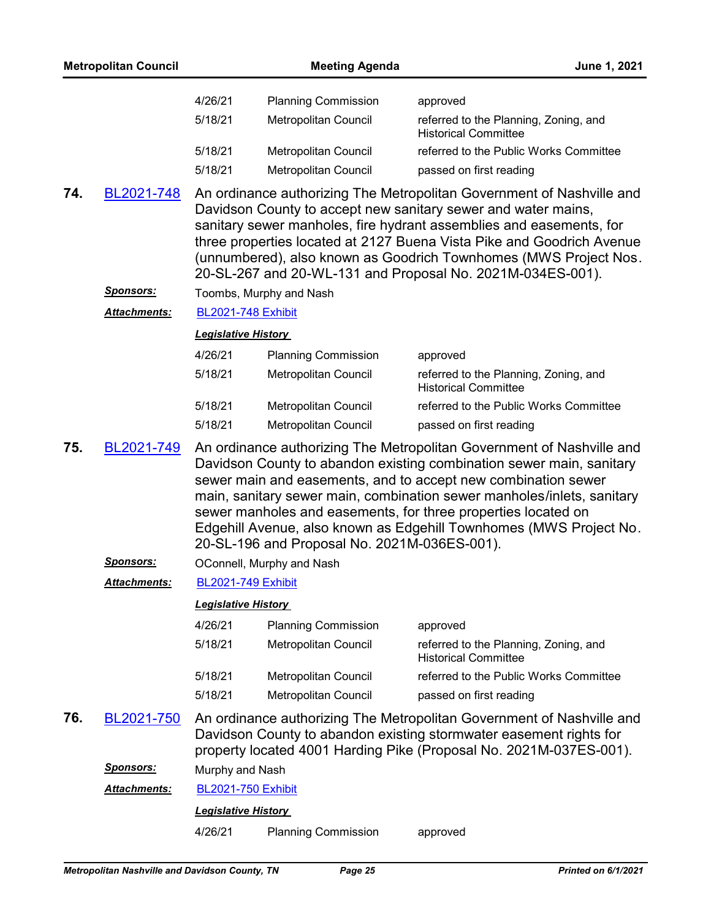|     | <b>Metropolitan Council</b> |                            | <b>Meeting Agenda</b>                        | June 1, 2021                                                                                                                                                                                                                                                                                                                                                                                                                    |
|-----|-----------------------------|----------------------------|----------------------------------------------|---------------------------------------------------------------------------------------------------------------------------------------------------------------------------------------------------------------------------------------------------------------------------------------------------------------------------------------------------------------------------------------------------------------------------------|
|     |                             | 4/26/21                    | <b>Planning Commission</b>                   | approved                                                                                                                                                                                                                                                                                                                                                                                                                        |
|     |                             | 5/18/21                    | Metropolitan Council                         | referred to the Planning, Zoning, and<br><b>Historical Committee</b>                                                                                                                                                                                                                                                                                                                                                            |
|     |                             | 5/18/21                    | Metropolitan Council                         | referred to the Public Works Committee                                                                                                                                                                                                                                                                                                                                                                                          |
|     |                             | 5/18/21                    | Metropolitan Council                         | passed on first reading                                                                                                                                                                                                                                                                                                                                                                                                         |
| 74. | BL2021-748                  |                            |                                              | An ordinance authorizing The Metropolitan Government of Nashville and<br>Davidson County to accept new sanitary sewer and water mains,<br>sanitary sewer manholes, fire hydrant assemblies and easements, for<br>three properties located at 2127 Buena Vista Pike and Goodrich Avenue<br>(unnumbered), also known as Goodrich Townhomes (MWS Project Nos.<br>20-SL-267 and 20-WL-131 and Proposal No. 2021M-034ES-001).        |
|     | <u>Sponsors:</u>            |                            | Toombs, Murphy and Nash                      |                                                                                                                                                                                                                                                                                                                                                                                                                                 |
|     | Attachments:                | <b>BL2021-748 Exhibit</b>  |                                              |                                                                                                                                                                                                                                                                                                                                                                                                                                 |
|     |                             | <b>Legislative History</b> |                                              |                                                                                                                                                                                                                                                                                                                                                                                                                                 |
|     |                             | 4/26/21                    | <b>Planning Commission</b>                   | approved                                                                                                                                                                                                                                                                                                                                                                                                                        |
|     |                             | 5/18/21                    | Metropolitan Council                         | referred to the Planning, Zoning, and<br><b>Historical Committee</b>                                                                                                                                                                                                                                                                                                                                                            |
|     |                             | 5/18/21                    | Metropolitan Council                         | referred to the Public Works Committee                                                                                                                                                                                                                                                                                                                                                                                          |
|     |                             | 5/18/21                    | Metropolitan Council                         | passed on first reading                                                                                                                                                                                                                                                                                                                                                                                                         |
| 75. | BL2021-749                  |                            | 20-SL-196 and Proposal No. 2021M-036ES-001). | An ordinance authorizing The Metropolitan Government of Nashville and<br>Davidson County to abandon existing combination sewer main, sanitary<br>sewer main and easements, and to accept new combination sewer<br>main, sanitary sewer main, combination sewer manholes/inlets, sanitary<br>sewer manholes and easements, for three properties located on<br>Edgehill Avenue, also known as Edgehill Townhomes (MWS Project No. |
|     | <b>Sponsors:</b>            |                            | OConnell, Murphy and Nash                    |                                                                                                                                                                                                                                                                                                                                                                                                                                 |
|     | <b>Attachments:</b>         | <b>BL2021-749 Exhibit</b>  |                                              |                                                                                                                                                                                                                                                                                                                                                                                                                                 |
|     |                             | <b>Legislative History</b> |                                              |                                                                                                                                                                                                                                                                                                                                                                                                                                 |
|     |                             | 4/26/21                    | <b>Planning Commission</b>                   | approved                                                                                                                                                                                                                                                                                                                                                                                                                        |
|     |                             | 5/18/21                    | Metropolitan Council                         | referred to the Planning, Zoning, and<br><b>Historical Committee</b>                                                                                                                                                                                                                                                                                                                                                            |
|     |                             | 5/18/21                    | Metropolitan Council                         | referred to the Public Works Committee                                                                                                                                                                                                                                                                                                                                                                                          |
|     |                             | 5/18/21                    | Metropolitan Council                         | passed on first reading                                                                                                                                                                                                                                                                                                                                                                                                         |
| 76. | BL2021-750                  |                            |                                              | An ordinance authorizing The Metropolitan Government of Nashville and<br>Davidson County to abandon existing stormwater easement rights for<br>property located 4001 Harding Pike (Proposal No. 2021M-037ES-001).                                                                                                                                                                                                               |
|     | <u>Sponsors:</u>            | Murphy and Nash            |                                              |                                                                                                                                                                                                                                                                                                                                                                                                                                 |
|     | <u> Attachments:</u>        | <b>BL2021-750 Exhibit</b>  |                                              |                                                                                                                                                                                                                                                                                                                                                                                                                                 |
|     |                             | <b>Legislative History</b> |                                              |                                                                                                                                                                                                                                                                                                                                                                                                                                 |
|     |                             | 4/26/21                    | <b>Planning Commission</b>                   | approved                                                                                                                                                                                                                                                                                                                                                                                                                        |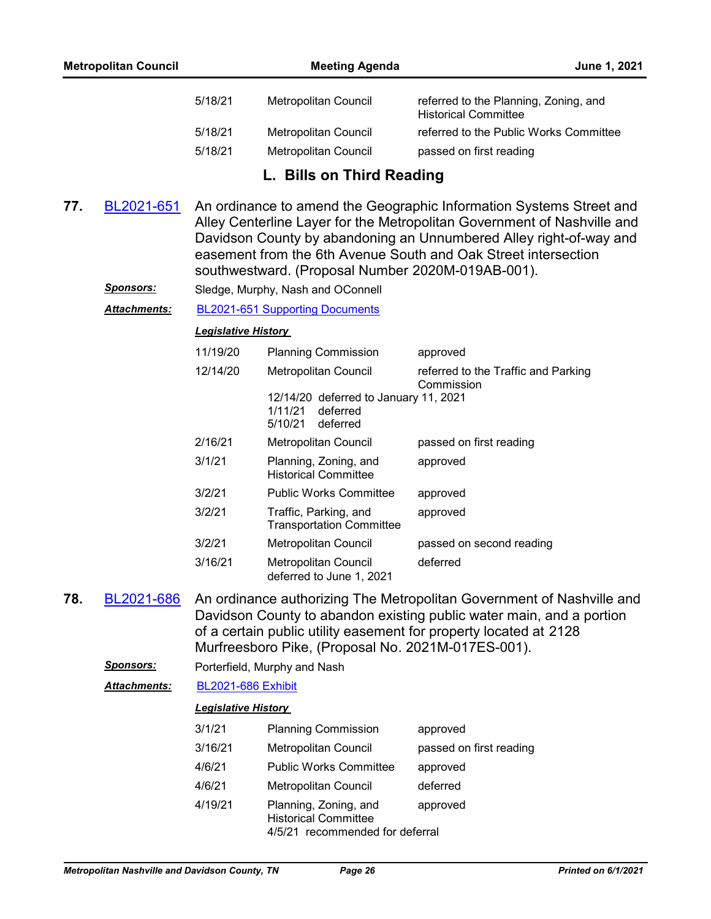| 5/18/21 | Metropolitan Council | referred to the Planning, Zoning, and<br><b>Historical Committee</b> |
|---------|----------------------|----------------------------------------------------------------------|
| 5/18/21 | Metropolitan Council | referred to the Public Works Committee                               |
| 5/18/21 | Metropolitan Council | passed on first reading                                              |
|         |                      |                                                                      |

## **L. Bills on Third Reading**

- An ordinance to amend the Geographic Information Systems Street and Alley Centerline Layer for the Metropolitan Government of Nashville and Davidson County by abandoning an Unnumbered Alley right-of-way and easement from the 6th Avenue South and Oak Street intersection southwestward. (Proposal Number 2020M-019AB-001). **77.** [BL2021-651](http://nashville.legistar.com/gateway.aspx?m=l&id=/matter.aspx?key=1897)
	- *Sponsors:* Sledge, Murphy, Nash and OConnell

*Attachments:* [BL2021-651 Supporting Documents](http://nashville.legistar.com/gateway.aspx?M=F&ID=7599ebf6-8b6e-4f99-aec7-9190e98bd977.DOCX)

#### *Legislative History*

| 11/19/20 | <b>Planning Commission</b>                                                          | approved                                          |
|----------|-------------------------------------------------------------------------------------|---------------------------------------------------|
| 12/14/20 | <b>Metropolitan Council</b>                                                         | referred to the Traffic and Parking<br>Commission |
|          | 12/14/20 deferred to January 11, 2021<br>1/11/21<br>deferred<br>5/10/21<br>deferred |                                                   |
| 2/16/21  | <b>Metropolitan Council</b>                                                         | passed on first reading                           |
| 3/1/21   | Planning, Zoning, and<br><b>Historical Committee</b>                                | approved                                          |
| 3/2/21   | <b>Public Works Committee</b>                                                       | approved                                          |
| 3/2/21   | Traffic, Parking, and<br><b>Transportation Committee</b>                            | approved                                          |
| 3/2/21   | Metropolitan Council                                                                | passed on second reading                          |
| 3/16/21  | Metropolitan Council<br>deferred to June 1, 2021                                    | deferred                                          |

- An ordinance authorizing The Metropolitan Government of Nashville and Davidson County to abandon existing public water main, and a portion of a certain public utility easement for property located at 2128 Murfreesboro Pike, (Proposal No. 2021M-017ES-001). **78.** [BL2021-686](http://nashville.legistar.com/gateway.aspx?m=l&id=/matter.aspx?key=2016)
	- *Sponsors:* Porterfield, Murphy and Nash

#### *Attachments:* [BL2021-686 Exhibit](http://nashville.legistar.com/gateway.aspx?M=F&ID=789b96a7-1110-4ffe-9f4c-3f6761f7ac21.pdf)

| 3/1/21  | <b>Planning Commission</b>                                                              | approved                |
|---------|-----------------------------------------------------------------------------------------|-------------------------|
| 3/16/21 | <b>Metropolitan Council</b>                                                             | passed on first reading |
| 4/6/21  | <b>Public Works Committee</b>                                                           | approved                |
| 4/6/21  | <b>Metropolitan Council</b>                                                             | deferred                |
| 4/19/21 | Planning, Zoning, and<br><b>Historical Committee</b><br>4/5/21 recommended for deferral | approved                |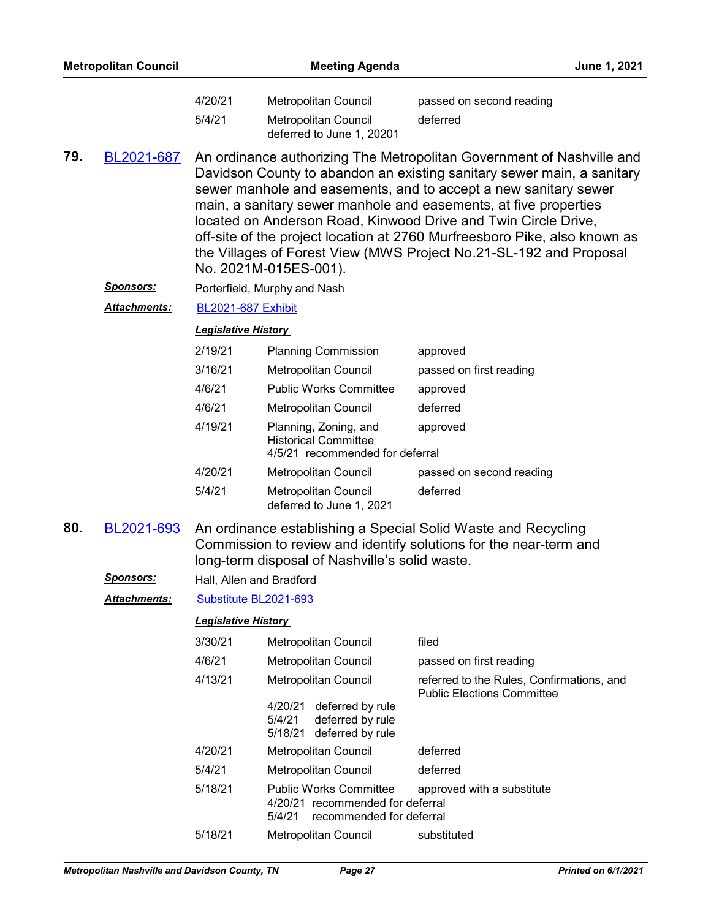|     | <b>Metropolitan Council</b> |                            | <b>Meeting Agenda</b>                                                                                   |                                                                                                                                                                                                                                                                                                                                                                                                                                                                                                             | June 1, 2021 |
|-----|-----------------------------|----------------------------|---------------------------------------------------------------------------------------------------------|-------------------------------------------------------------------------------------------------------------------------------------------------------------------------------------------------------------------------------------------------------------------------------------------------------------------------------------------------------------------------------------------------------------------------------------------------------------------------------------------------------------|--------------|
|     |                             | 4/20/21<br>5/4/21          | Metropolitan Council<br>Metropolitan Council<br>deferred to June 1, 20201                               | passed on second reading<br>deferred                                                                                                                                                                                                                                                                                                                                                                                                                                                                        |              |
| 79. | BL2021-687                  |                            | No. 2021M-015ES-001).                                                                                   | An ordinance authorizing The Metropolitan Government of Nashville and<br>Davidson County to abandon an existing sanitary sewer main, a sanitary<br>sewer manhole and easements, and to accept a new sanitary sewer<br>main, a sanitary sewer manhole and easements, at five properties<br>located on Anderson Road, Kinwood Drive and Twin Circle Drive,<br>off-site of the project location at 2760 Murfreesboro Pike, also known as<br>the Villages of Forest View (MWS Project No.21-SL-192 and Proposal |              |
|     | <u>Sponsors:</u>            |                            | Porterfield, Murphy and Nash                                                                            |                                                                                                                                                                                                                                                                                                                                                                                                                                                                                                             |              |
|     | <b>Attachments:</b>         | <b>BL2021-687 Exhibit</b>  |                                                                                                         |                                                                                                                                                                                                                                                                                                                                                                                                                                                                                                             |              |
|     |                             | <b>Legislative History</b> |                                                                                                         |                                                                                                                                                                                                                                                                                                                                                                                                                                                                                                             |              |
|     |                             | 2/19/21                    | <b>Planning Commission</b>                                                                              | approved                                                                                                                                                                                                                                                                                                                                                                                                                                                                                                    |              |
|     |                             | 3/16/21                    | Metropolitan Council                                                                                    | passed on first reading                                                                                                                                                                                                                                                                                                                                                                                                                                                                                     |              |
|     |                             | 4/6/21                     | <b>Public Works Committee</b>                                                                           | approved                                                                                                                                                                                                                                                                                                                                                                                                                                                                                                    |              |
|     |                             | 4/6/21                     | Metropolitan Council                                                                                    | deferred                                                                                                                                                                                                                                                                                                                                                                                                                                                                                                    |              |
|     |                             | 4/19/21                    | Planning, Zoning, and<br><b>Historical Committee</b><br>4/5/21 recommended for deferral                 | approved                                                                                                                                                                                                                                                                                                                                                                                                                                                                                                    |              |
|     |                             | 4/20/21                    | Metropolitan Council                                                                                    | passed on second reading                                                                                                                                                                                                                                                                                                                                                                                                                                                                                    |              |
|     |                             | 5/4/21                     | Metropolitan Council<br>deferred to June 1, 2021                                                        | deferred                                                                                                                                                                                                                                                                                                                                                                                                                                                                                                    |              |
| 80. | BL2021-693                  |                            | long-term disposal of Nashville's solid waste.                                                          | An ordinance establishing a Special Solid Waste and Recycling<br>Commission to review and identify solutions for the near-term and                                                                                                                                                                                                                                                                                                                                                                          |              |
|     | Sponsors:                   | Hall, Allen and Bradford   |                                                                                                         |                                                                                                                                                                                                                                                                                                                                                                                                                                                                                                             |              |
|     | <b>Attachments:</b>         | Substitute BL2021-693      |                                                                                                         |                                                                                                                                                                                                                                                                                                                                                                                                                                                                                                             |              |
|     |                             | <b>Legislative History</b> |                                                                                                         |                                                                                                                                                                                                                                                                                                                                                                                                                                                                                                             |              |
|     |                             | 3/30/21                    | Metropolitan Council                                                                                    | filed                                                                                                                                                                                                                                                                                                                                                                                                                                                                                                       |              |
|     |                             | 4/6/21                     | Metropolitan Council                                                                                    | passed on first reading                                                                                                                                                                                                                                                                                                                                                                                                                                                                                     |              |
|     |                             | 4/13/21                    | Metropolitan Council                                                                                    | referred to the Rules, Confirmations, and<br><b>Public Elections Committee</b>                                                                                                                                                                                                                                                                                                                                                                                                                              |              |
|     |                             |                            | deferred by rule<br>4/20/21<br>5/4/21<br>deferred by rule<br>5/18/21 deferred by rule                   |                                                                                                                                                                                                                                                                                                                                                                                                                                                                                                             |              |
|     |                             | 4/20/21                    | Metropolitan Council                                                                                    | deferred                                                                                                                                                                                                                                                                                                                                                                                                                                                                                                    |              |
|     |                             | 5/4/21                     | Metropolitan Council                                                                                    | deferred                                                                                                                                                                                                                                                                                                                                                                                                                                                                                                    |              |
|     |                             | 5/18/21                    | <b>Public Works Committee</b><br>4/20/21 recommended for deferral<br>recommended for deferral<br>5/4/21 | approved with a substitute                                                                                                                                                                                                                                                                                                                                                                                                                                                                                  |              |
|     |                             | 5/18/21                    | Metropolitan Council                                                                                    | substituted                                                                                                                                                                                                                                                                                                                                                                                                                                                                                                 |              |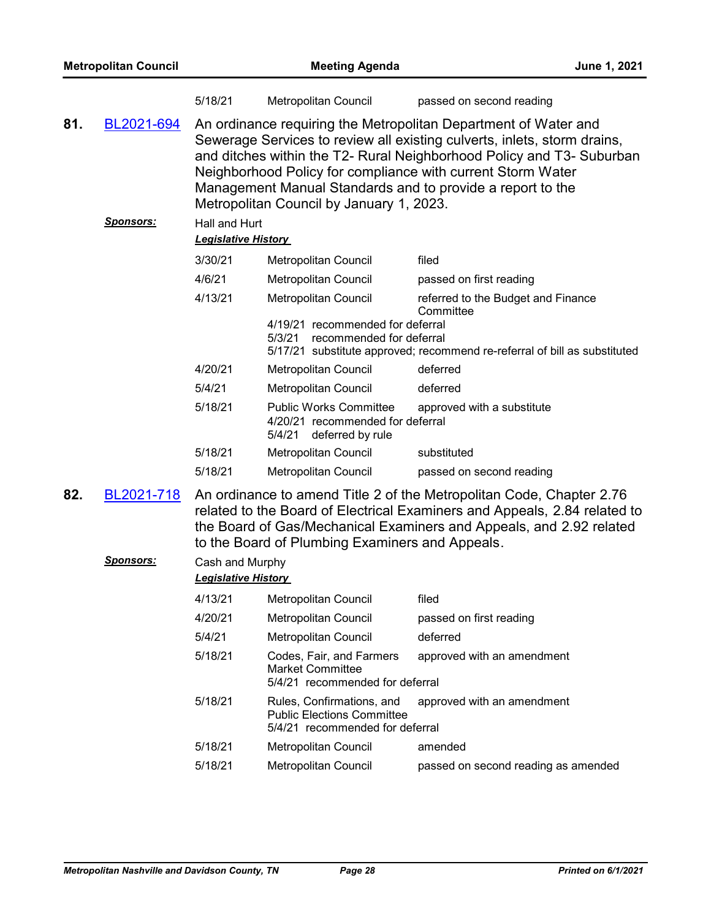|     | <b>Metropolitan Council</b>    |                                             | <b>Meeting Agenda</b>                                                                             | June 1, 2021                                                                                                                                                                                                                                                                                                                                      |
|-----|--------------------------------|---------------------------------------------|---------------------------------------------------------------------------------------------------|---------------------------------------------------------------------------------------------------------------------------------------------------------------------------------------------------------------------------------------------------------------------------------------------------------------------------------------------------|
|     |                                | 5/18/21                                     | Metropolitan Council                                                                              | passed on second reading                                                                                                                                                                                                                                                                                                                          |
| 81. | BL2021-694                     |                                             | Metropolitan Council by January 1, 2023.                                                          | An ordinance requiring the Metropolitan Department of Water and<br>Sewerage Services to review all existing culverts, inlets, storm drains,<br>and ditches within the T2- Rural Neighborhood Policy and T3- Suburban<br>Neighborhood Policy for compliance with current Storm Water<br>Management Manual Standards and to provide a report to the |
|     | <b>Sponsors:</b>               | Hall and Hurt<br><b>Legislative History</b> |                                                                                                   |                                                                                                                                                                                                                                                                                                                                                   |
|     |                                | 3/30/21                                     | Metropolitan Council                                                                              | filed                                                                                                                                                                                                                                                                                                                                             |
|     |                                | 4/6/21                                      | Metropolitan Council                                                                              | passed on first reading                                                                                                                                                                                                                                                                                                                           |
|     |                                | 4/13/21                                     | Metropolitan Council<br>4/19/21 recommended for deferral                                          | referred to the Budget and Finance<br>Committee                                                                                                                                                                                                                                                                                                   |
|     |                                |                                             | 5/3/21<br>recommended for deferral                                                                | 5/17/21 substitute approved; recommend re-referral of bill as substituted                                                                                                                                                                                                                                                                         |
|     |                                | 4/20/21                                     | Metropolitan Council                                                                              | deferred                                                                                                                                                                                                                                                                                                                                          |
|     |                                | 5/4/21                                      | Metropolitan Council                                                                              | deferred                                                                                                                                                                                                                                                                                                                                          |
|     |                                | 5/18/21                                     | <b>Public Works Committee</b><br>4/20/21 recommended for deferral<br>deferred by rule<br>5/4/21   | approved with a substitute                                                                                                                                                                                                                                                                                                                        |
|     |                                | 5/18/21                                     | Metropolitan Council                                                                              | substituted                                                                                                                                                                                                                                                                                                                                       |
|     |                                | 5/18/21                                     | <b>Metropolitan Council</b>                                                                       | passed on second reading                                                                                                                                                                                                                                                                                                                          |
| 82. | BL2021-718<br><u>Sponsors:</u> | Cash and Murphy                             | to the Board of Plumbing Examiners and Appeals.                                                   | An ordinance to amend Title 2 of the Metropolitan Code, Chapter 2.76<br>related to the Board of Electrical Examiners and Appeals, 2.84 related to<br>the Board of Gas/Mechanical Examiners and Appeals, and 2.92 related                                                                                                                          |
|     |                                | <b>Legislative History</b>                  |                                                                                                   |                                                                                                                                                                                                                                                                                                                                                   |
|     |                                | 4/13/21                                     | Metropolitan Council                                                                              | filed                                                                                                                                                                                                                                                                                                                                             |
|     |                                | 4/20/21                                     | <b>Metropolitan Council</b>                                                                       | passed on first reading                                                                                                                                                                                                                                                                                                                           |
|     |                                | 5/4/21                                      | Metropolitan Council                                                                              | deferred                                                                                                                                                                                                                                                                                                                                          |
|     |                                | 5/18/21                                     | Codes, Fair, and Farmers<br><b>Market Committee</b><br>5/4/21 recommended for deferral            | approved with an amendment                                                                                                                                                                                                                                                                                                                        |
|     |                                | 5/18/21                                     | Rules, Confirmations, and<br><b>Public Elections Committee</b><br>5/4/21 recommended for deferral | approved with an amendment                                                                                                                                                                                                                                                                                                                        |
|     |                                | 5/18/21                                     | Metropolitan Council                                                                              | amended                                                                                                                                                                                                                                                                                                                                           |
|     |                                | 5/18/21                                     | Metropolitan Council                                                                              | passed on second reading as amended                                                                                                                                                                                                                                                                                                               |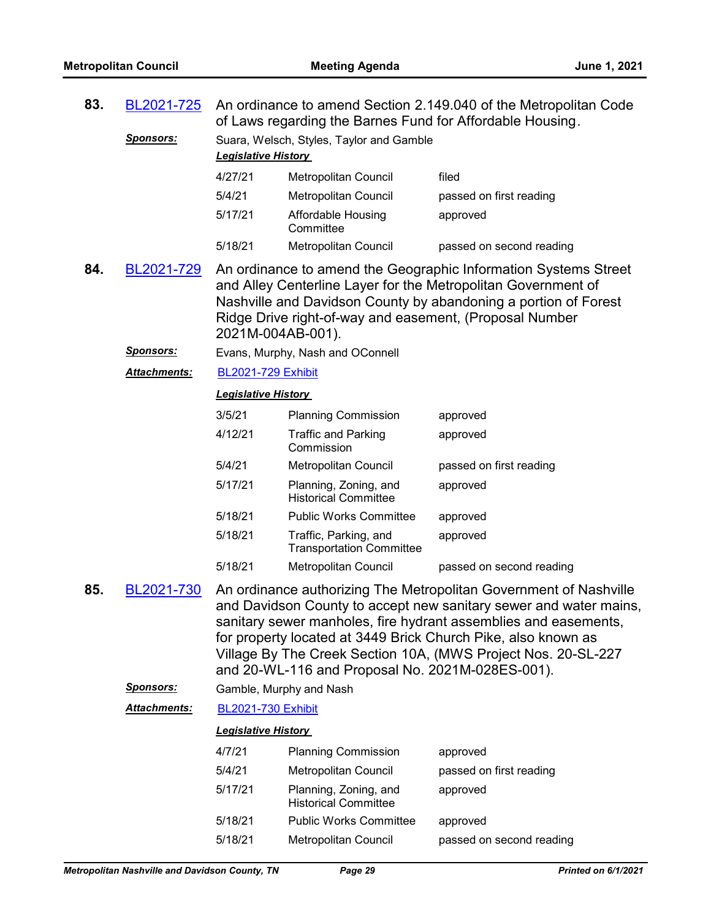| 83. | An ordinance to amend Section 2.149.040 of the Metropolitan Code<br>BL2021-725<br>of Laws regarding the Barnes Fund for Affordable Housing. |                            |                                                          |                                                                                                                                                                                                                                                                                                                                             |  |
|-----|---------------------------------------------------------------------------------------------------------------------------------------------|----------------------------|----------------------------------------------------------|---------------------------------------------------------------------------------------------------------------------------------------------------------------------------------------------------------------------------------------------------------------------------------------------------------------------------------------------|--|
|     | <u>Sponsors:</u>                                                                                                                            | Legislative History        | Suara, Welsch, Styles, Taylor and Gamble                 |                                                                                                                                                                                                                                                                                                                                             |  |
|     |                                                                                                                                             | 4/27/21                    | Metropolitan Council                                     | filed                                                                                                                                                                                                                                                                                                                                       |  |
|     |                                                                                                                                             | 5/4/21                     | Metropolitan Council                                     | passed on first reading                                                                                                                                                                                                                                                                                                                     |  |
|     |                                                                                                                                             | 5/17/21                    | Affordable Housing<br>Committee                          | approved                                                                                                                                                                                                                                                                                                                                    |  |
|     |                                                                                                                                             | 5/18/21                    | Metropolitan Council                                     | passed on second reading                                                                                                                                                                                                                                                                                                                    |  |
| 84. | BL2021-729                                                                                                                                  | 2021M-004AB-001).          | Ridge Drive right-of-way and easement, (Proposal Number  | An ordinance to amend the Geographic Information Systems Street<br>and Alley Centerline Layer for the Metropolitan Government of<br>Nashville and Davidson County by abandoning a portion of Forest                                                                                                                                         |  |
|     | <u>Sponsors:</u>                                                                                                                            |                            | Evans, Murphy, Nash and OConnell                         |                                                                                                                                                                                                                                                                                                                                             |  |
|     | Attachments:                                                                                                                                | <b>BL2021-729 Exhibit</b>  |                                                          |                                                                                                                                                                                                                                                                                                                                             |  |
|     |                                                                                                                                             | <b>Legislative History</b> |                                                          |                                                                                                                                                                                                                                                                                                                                             |  |
|     |                                                                                                                                             | 3/5/21                     | <b>Planning Commission</b>                               | approved                                                                                                                                                                                                                                                                                                                                    |  |
|     |                                                                                                                                             | 4/12/21                    | <b>Traffic and Parking</b><br>Commission                 | approved                                                                                                                                                                                                                                                                                                                                    |  |
|     |                                                                                                                                             | 5/4/21                     | Metropolitan Council                                     | passed on first reading                                                                                                                                                                                                                                                                                                                     |  |
|     |                                                                                                                                             | 5/17/21                    | Planning, Zoning, and<br><b>Historical Committee</b>     | approved                                                                                                                                                                                                                                                                                                                                    |  |
|     |                                                                                                                                             | 5/18/21                    | <b>Public Works Committee</b>                            | approved                                                                                                                                                                                                                                                                                                                                    |  |
|     |                                                                                                                                             | 5/18/21                    | Traffic, Parking, and<br><b>Transportation Committee</b> | approved                                                                                                                                                                                                                                                                                                                                    |  |
|     |                                                                                                                                             | 5/18/21                    | Metropolitan Council                                     | passed on second reading                                                                                                                                                                                                                                                                                                                    |  |
| 85. | BL2021-730                                                                                                                                  |                            | and 20-WL-116 and Proposal No. 2021M-028ES-001).         | An ordinance authorizing The Metropolitan Government of Nashville<br>and Davidson County to accept new sanitary sewer and water mains,<br>sanitary sewer manholes, fire hydrant assemblies and easements,<br>for property located at 3449 Brick Church Pike, also known as<br>Village By The Creek Section 10A, (MWS Project Nos. 20-SL-227 |  |
|     | <u>Sponsors:</u>                                                                                                                            |                            | Gamble, Murphy and Nash                                  |                                                                                                                                                                                                                                                                                                                                             |  |
|     | <b>Attachments:</b>                                                                                                                         | <b>BL2021-730 Exhibit</b>  |                                                          |                                                                                                                                                                                                                                                                                                                                             |  |
|     |                                                                                                                                             | <b>Legislative History</b> |                                                          |                                                                                                                                                                                                                                                                                                                                             |  |
|     |                                                                                                                                             | 4/7/21                     | <b>Planning Commission</b>                               | approved                                                                                                                                                                                                                                                                                                                                    |  |
|     |                                                                                                                                             | 5/4/21                     | Metropolitan Council                                     | passed on first reading                                                                                                                                                                                                                                                                                                                     |  |
|     |                                                                                                                                             | 5/17/21                    | Planning, Zoning, and<br><b>Historical Committee</b>     | approved                                                                                                                                                                                                                                                                                                                                    |  |
|     |                                                                                                                                             | 5/18/21                    | <b>Public Works Committee</b>                            | approved                                                                                                                                                                                                                                                                                                                                    |  |
|     |                                                                                                                                             | 5/18/21                    | <b>Metropolitan Council</b>                              | passed on second reading                                                                                                                                                                                                                                                                                                                    |  |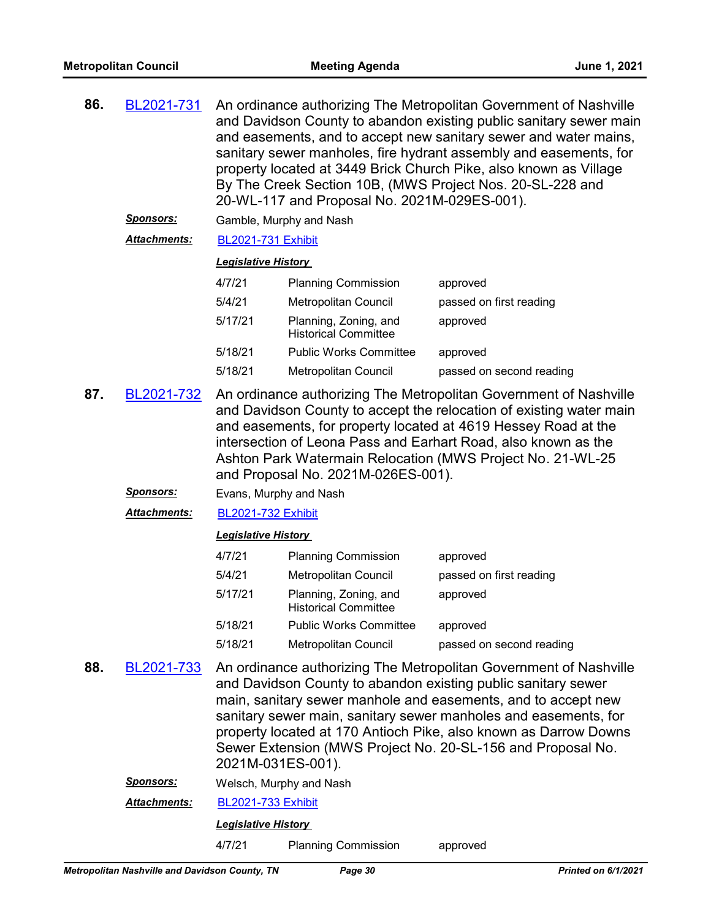| 86. | BL2021-731<br><u>Sponsors:</u> | An ordinance authorizing The Metropolitan Government of Nashville<br>and Davidson County to abandon existing public sanitary sewer main<br>and easements, and to accept new sanitary sewer and water mains,<br>sanitary sewer manholes, fire hydrant assembly and easements, for<br>property located at 3449 Brick Church Pike, also known as Village<br>By The Creek Section 10B, (MWS Project Nos. 20-SL-228 and<br>20-WL-117 and Proposal No. 2021M-029ES-001).<br>Gamble, Murphy and Nash |                                                      |                          |  |  |  |
|-----|--------------------------------|-----------------------------------------------------------------------------------------------------------------------------------------------------------------------------------------------------------------------------------------------------------------------------------------------------------------------------------------------------------------------------------------------------------------------------------------------------------------------------------------------|------------------------------------------------------|--------------------------|--|--|--|
|     | <b>Attachments:</b>            | <b>BL2021-731 Exhibit</b>                                                                                                                                                                                                                                                                                                                                                                                                                                                                     |                                                      |                          |  |  |  |
|     |                                | <b>Legislative History</b>                                                                                                                                                                                                                                                                                                                                                                                                                                                                    |                                                      |                          |  |  |  |
|     |                                | 4/7/21                                                                                                                                                                                                                                                                                                                                                                                                                                                                                        | <b>Planning Commission</b>                           | approved                 |  |  |  |
|     |                                | 5/4/21                                                                                                                                                                                                                                                                                                                                                                                                                                                                                        | <b>Metropolitan Council</b>                          | passed on first reading  |  |  |  |
|     |                                | 5/17/21                                                                                                                                                                                                                                                                                                                                                                                                                                                                                       | Planning, Zoning, and<br><b>Historical Committee</b> | approved                 |  |  |  |
|     |                                | 5/18/21                                                                                                                                                                                                                                                                                                                                                                                                                                                                                       | <b>Public Works Committee</b>                        | approved                 |  |  |  |
|     |                                | 5/18/21                                                                                                                                                                                                                                                                                                                                                                                                                                                                                       | Metropolitan Council                                 | passed on second reading |  |  |  |
| 87. | BL2021-732                     | An ordinance authorizing The Metropolitan Government of Nashville<br>and Davidson County to accept the relocation of existing water main<br>and easements, for property located at 4619 Hessey Road at the<br>intersection of Leona Pass and Earhart Road, also known as the<br>Ashton Park Watermain Relocation (MWS Project No. 21-WL-25<br>and Proposal No. 2021M-026ES-001).                                                                                                              |                                                      |                          |  |  |  |
|     | <b>Sponsors:</b>               |                                                                                                                                                                                                                                                                                                                                                                                                                                                                                               | Evans, Murphy and Nash                               |                          |  |  |  |
|     | Attachments:                   | <b>BL2021-732 Exhibit</b>                                                                                                                                                                                                                                                                                                                                                                                                                                                                     |                                                      |                          |  |  |  |
|     |                                | <b>Legislative History</b>                                                                                                                                                                                                                                                                                                                                                                                                                                                                    |                                                      |                          |  |  |  |
|     |                                | 4/7/21                                                                                                                                                                                                                                                                                                                                                                                                                                                                                        | <b>Planning Commission</b>                           | approved                 |  |  |  |
|     |                                | 5/4/21                                                                                                                                                                                                                                                                                                                                                                                                                                                                                        | <b>Metropolitan Council</b>                          | passed on first reading  |  |  |  |
|     |                                | 5/17/21                                                                                                                                                                                                                                                                                                                                                                                                                                                                                       | Planning, Zoning, and<br><b>Historical Committee</b> | approved                 |  |  |  |
|     |                                | 5/18/21                                                                                                                                                                                                                                                                                                                                                                                                                                                                                       | <b>Public Works Committee</b>                        | approved                 |  |  |  |
|     |                                | 5/18/21                                                                                                                                                                                                                                                                                                                                                                                                                                                                                       | Metropolitan Council                                 | passed on second reading |  |  |  |
| 88. | BL2021-733                     | An ordinance authorizing The Metropolitan Government of Nashville<br>and Davidson County to abandon existing public sanitary sewer<br>main, sanitary sewer manhole and easements, and to accept new<br>sanitary sewer main, sanitary sewer manholes and easements, for<br>property located at 170 Antioch Pike, also known as Darrow Downs<br>Sewer Extension (MWS Project No. 20-SL-156 and Proposal No.<br>2021M-031ES-001).                                                                |                                                      |                          |  |  |  |
|     | <u>Sponsors:</u>               |                                                                                                                                                                                                                                                                                                                                                                                                                                                                                               | Welsch, Murphy and Nash                              |                          |  |  |  |
|     | Attachments:                   | <b>BL2021-733 Exhibit</b>                                                                                                                                                                                                                                                                                                                                                                                                                                                                     |                                                      |                          |  |  |  |

4/7/21 Planning Commission approved